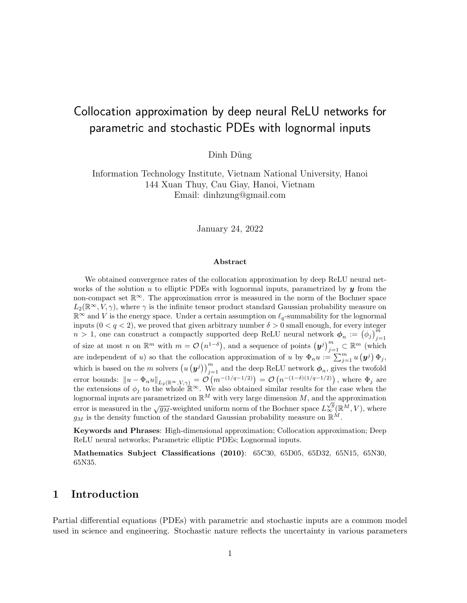# Collocation approximation by deep neural ReLU networks for parametric and stochastic PDEs with lognormal inputs

Dinh Dũng

Information Technology Institute, Vietnam National University, Hanoi 144 Xuan Thuy, Cau Giay, Hanoi, Vietnam Email: dinhzung@gmail.com

January 24, 2022

#### Abstract

We obtained convergence rates of the collocation approximation by deep ReLU neural networks of the solution u to elliptic PDEs with lognormal inputs, parametrized by  $y$  from the non-compact set  $\mathbb{R}^{\infty}$ . The approximation error is measured in the norm of the Bochner space  $L_2(\mathbb{R}^\infty, V, \gamma)$ , where  $\gamma$  is the infinite tensor product standard Gaussian probability measure on  $\mathbb{R}^{\infty}$  and V is the energy space. Under a certain assumption on  $\ell_q$ -summability for the lognormal inputs  $(0 < q < 2)$ , we proved that given arbitrary number  $\delta > 0$  small enough, for every integer  $n > 1$ , one can construct a compactly supported deep ReLU neural network  $\phi_n := (\phi_j)_{j=1}^m$ of size at most n on  $\mathbb{R}^m$  with  $m = \mathcal{O}(n^{1-\delta})$ , and a sequence of points  $(\bm{y}^j)_{j=1}^m \subset \mathbb{R}^m$  (which are independent of u) so that the collocation approximation of u by  $\Phi_n u := \sum_{j=1}^m u(\mathbf{y}^j) \Phi_j$ , which is based on the m solvers  $(u(y^j))_{j=1}^m$  and the deep ReLU network  $\phi_n$ , gives the twofold error bounds:  $\|u - \Phi_n u\|_{L_2(\mathbb{R}^\infty, V, \gamma)} = \mathcal{O}\left(m^{-(1/q-1/2)}\right) = \mathcal{O}\left(n^{-(1-\delta)(1/q-1/2)}\right)$ , where  $\Phi_j$  are the extensions of  $\phi_j$  to the whole  $\mathbb{R}^\infty$ . We also obtained similar results for the case when the lognormal inputs are parametrized on  $\mathbb{R}^M$  with very large dimension M, and the approximation error is measured in the  $\sqrt{g_M}$ -weighted uniform norm of the Bochner space  $L^{\sqrt{g}}_{\infty}(\mathbb{R}^M, V)$ , where  $g_M$  is the density function of the standard Gaussian probability measure on  $\mathbb{R}^M$ .

Keywords and Phrases: High-dimensional approximation; Collocation approximation; Deep ReLU neural networks; Parametric elliptic PDEs; Lognormal inputs.

Mathematics Subject Classifications (2010): 65C30, 65D05, 65D32, 65N15, 65N30, 65N35.

# 1 Introduction

Partial differential equations (PDEs) with parametric and stochastic inputs are a common model used in science and engineering. Stochastic nature reflects the uncertainty in various parameters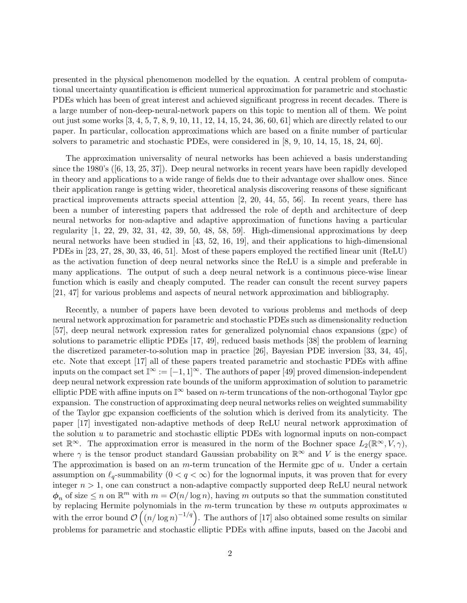presented in the physical phenomenon modelled by the equation. A central problem of computational uncertainty quantification is efficient numerical approximation for parametric and stochastic PDEs which has been of great interest and achieved significant progress in recent decades. There is a large number of non-deep-neural-network papers on this topic to mention all of them. We point out just some works [\[3,](#page-32-0) [4,](#page-32-1) [5,](#page-32-2) [7,](#page-32-3) [8,](#page-32-4) [9,](#page-32-5) [10,](#page-32-6) [11,](#page-32-7) [12,](#page-32-8) [14,](#page-32-9) [15,](#page-32-10) [24,](#page-33-0) [36,](#page-34-0) [60,](#page-35-0) [61\]](#page-35-1) which are directly related to our paper. In particular, collocation approximations which are based on a finite number of particular solvers to parametric and stochastic PDEs, were considered in [\[8,](#page-32-4) [9,](#page-32-5) [10,](#page-32-6) [14,](#page-32-9) [15,](#page-32-10) [18,](#page-33-1) [24,](#page-33-0) [60\]](#page-35-0).

The approximation universality of neural networks has been achieved a basis understanding since the 1980's ([\[6,](#page-32-11) [13,](#page-32-12) [25,](#page-33-2) [37\]](#page-34-1)). Deep neural networks in recent years have been rapidly developed in theory and applications to a wide range of fields due to their advantage over shallow ones. Since their application range is getting wider, theoretical analysis discovering reasons of these significant practical improvements attracts special attention [\[2,](#page-32-13) [20,](#page-33-3) [44,](#page-34-2) [55,](#page-35-2) [56\]](#page-35-3). In recent years, there has been a number of interesting papers that addressed the role of depth and architecture of deep neural networks for non-adaptive and adaptive approximation of functions having a particular regularity [\[1,](#page-31-0) [22,](#page-33-4) [29,](#page-33-5) [32,](#page-34-3) [31,](#page-33-6) [42,](#page-34-4) [39,](#page-34-5) [50,](#page-35-4) [48,](#page-35-5) [58,](#page-35-6) [59\]](#page-35-7). High-dimensional approximations by deep neural networks have been studied in [\[43,](#page-34-6) [52,](#page-35-8) [16,](#page-32-14) [19\]](#page-33-7), and their applications to high-dimensional PDEs in [\[23,](#page-33-8) [27,](#page-33-9) [28,](#page-33-10) [30,](#page-33-11) [33,](#page-34-7) [46,](#page-34-8) [51\]](#page-35-9). Most of these papers employed the rectified linear unit (ReLU) as the activation function of deep neural networks since the ReLU is a simple and preferable in many applications. The output of such a deep neural network is a continuous piece-wise linear function which is easily and cheaply computed. The reader can consult the recent survey papers [\[21,](#page-33-12) [47\]](#page-34-9) for various problems and aspects of neural network approximation and bibliography.

Recently, a number of papers have been devoted to various problems and methods of deep neural network approximation for parametric and stochastic PDEs such as dimensionality reduction [\[57\]](#page-35-10), deep neural network expression rates for generalized polynomial chaos expansions (gpc) of solutions to parametric elliptic PDEs [\[17,](#page-33-13) [49\]](#page-35-11), reduced basis methods [\[38\]](#page-34-10) the problem of learning the discretized parameter-to-solution map in practice [\[26\]](#page-33-14), Bayesian PDE inversion [\[33,](#page-34-7) [34,](#page-34-11) [45\]](#page-34-12), etc. Note that except [\[17\]](#page-33-13) all of these papers treated parametric and stochastic PDEs with affine inputs on the compact set  $\mathbb{I}^{\infty} := [-1, 1]^{\infty}$ . The authors of paper [\[49\]](#page-35-11) proved dimension-independent deep neural network expression rate bounds of the uniform approximation of solution to parametric elliptic PDE with affine inputs on  $\mathbb{I}^{\infty}$  based on *n*-term truncations of the non-orthogonal Taylor gpc expansion. The construction of approximating deep neural networks relies on weighted summability of the Taylor gpc expansion coefficients of the solution which is derived from its analyticity. The paper [\[17\]](#page-33-13) investigated non-adaptive methods of deep ReLU neural network approximation of the solution  $u$  to parametric and stochastic elliptic PDEs with lognormal inputs on non-compact set  $\mathbb{R}^{\infty}$ . The approximation error is measured in the norm of the Bochner space  $L_2(\mathbb{R}^{\infty}, V, \gamma)$ , where  $\gamma$  is the tensor product standard Gaussian probability on  $\mathbb{R}^{\infty}$  and V is the energy space. The approximation is based on an  $m$ -term truncation of the Hermite gpc of  $u$ . Under a certain assumption on  $\ell_q$ -summability  $(0 < q < \infty)$  for the lognormal inputs, it was proven that for every integer  $n > 1$ , one can construct a non-adaptive compactly supported deep ReLU neural network  $\phi_n$  of size  $\leq n$  on  $\mathbb{R}^m$  with  $m = \mathcal{O}(n/\log n)$ , having m outputs so that the summation constituted by replacing Hermite polynomials in the  $m$ -term truncation by these  $m$  outputs approximates  $u$ with the error bound  $\mathcal{O}\left(\left(n/\log n\right)^{-1/q}\right)$ . The authors of [\[17\]](#page-33-13) also obtained some results on similar problems for parametric and stochastic elliptic PDEs with affine inputs, based on the Jacobi and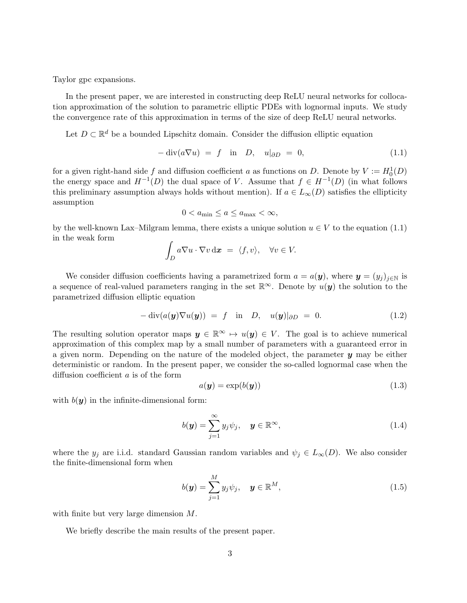Taylor gpc expansions.

In the present paper, we are interested in constructing deep ReLU neural networks for collocation approximation of the solution to parametric elliptic PDEs with lognormal inputs. We study the convergence rate of this approximation in terms of the size of deep ReLU neural networks.

Let  $D \subset \mathbb{R}^d$  be a bounded Lipschitz domain. Consider the diffusion elliptic equation

<span id="page-2-0"></span>
$$
-\operatorname{div}(a\nabla u) = f \quad \text{in} \quad D, \quad u|_{\partial D} = 0,\tag{1.1}
$$

for a given right-hand side f and diffusion coefficient a as functions on D. Denote by  $V := H_0^1(D)$ the energy space and  $H^{-1}(D)$  the dual space of V. Assume that  $f \in H^{-1}(D)$  (in what follows this preliminary assumption always holds without mention). If  $a \in L_{\infty}(D)$  satisfies the ellipticity assumption

<span id="page-2-1"></span>
$$
0 < a_{\min} \le a \le a_{\max} < \infty,
$$

by the well-known Lax–Milgram lemma, there exists a unique solution  $u \in V$  to the equation [\(1.1\)](#page-2-0) in the weak form

$$
\int_D a \nabla u \cdot \nabla v \, \mathrm{d} \boldsymbol{x} \ = \ \langle f, v \rangle, \quad \forall v \in V.
$$

We consider diffusion coefficients having a parametrized form  $a = a(\mathbf{y})$ , where  $\mathbf{y} = (y_j)_{j \in \mathbb{N}}$  is a sequence of real-valued parameters ranging in the set  $\mathbb{R}^{\infty}$ . Denote by  $u(y)$  the solution to the parametrized diffusion elliptic equation

$$
-\operatorname{div}(a(\mathbf{y})\nabla u(\mathbf{y})) = f \quad \text{in} \quad D, \quad u(\mathbf{y})|_{\partial D} = 0. \tag{1.2}
$$

The resulting solution operator maps  $y \in \mathbb{R}^{\infty} \mapsto u(y) \in V$ . The goal is to achieve numerical approximation of this complex map by a small number of parameters with a guaranteed error in a given norm. Depending on the nature of the modeled object, the parameter  $\boldsymbol{y}$  may be either deterministic or random. In the present paper, we consider the so-called lognormal case when the diffusion coefficient a is of the form

<span id="page-2-2"></span>
$$
a(\mathbf{y}) = \exp(b(\mathbf{y})) \tag{1.3}
$$

with  $b(y)$  in the infinite-dimensional form:

<span id="page-2-3"></span>
$$
b(\mathbf{y}) = \sum_{j=1}^{\infty} y_j \psi_j, \quad \mathbf{y} \in \mathbb{R}^{\infty},
$$
\n(1.4)

where the  $y_j$  are i.i.d. standard Gaussian random variables and  $\psi_j \in L_{\infty}(D)$ . We also consider the finite-dimensional form when

<span id="page-2-4"></span>
$$
b(\mathbf{y}) = \sum_{j=1}^{M} y_j \psi_j, \quad \mathbf{y} \in \mathbb{R}^M,
$$
\n(1.5)

with finite but very large dimension M.

We briefly describe the main results of the present paper.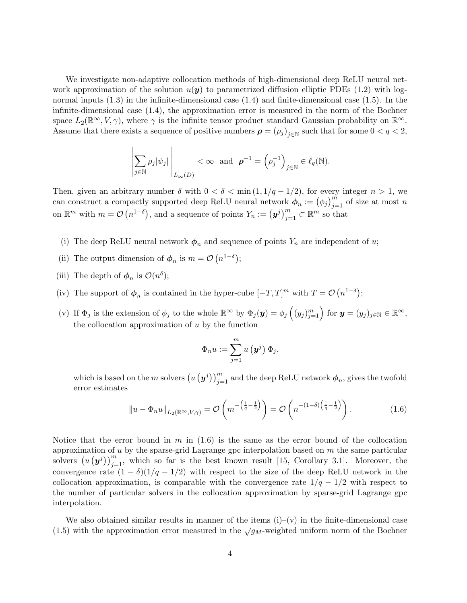We investigate non-adaptive collocation methods of high-dimensional deep ReLU neural network approximation of the solution  $u(\mathbf{y})$  to parametrized diffusion elliptic PDEs [\(1.2\)](#page-2-1) with lognormal inputs [\(1.3\)](#page-2-2) in the infinite-dimensional case [\(1.4\)](#page-2-3) and finite-dimensional case [\(1.5\)](#page-2-4). In the infinite-dimensional case [\(1.4\)](#page-2-3), the approximation error is measured in the norm of the Bochner space  $L_2(\mathbb{R}^\infty, V, \gamma)$ , where  $\gamma$  is the infinite tensor product standard Gaussian probability on  $\mathbb{R}^\infty$ . Assume that there exists a sequence of positive numbers  $\rho = (\rho_j)_{j \in \mathbb{N}}$  such that for some  $0 < q < 2$ ,

$$
\left\|\sum_{j\in\mathbb{N}}\rho_j|\psi_j|\right\|_{L_{\infty}(D)} < \infty \text{ and } \boldsymbol{\rho}^{-1} = \left(\rho_j^{-1}\right)_{j\in\mathbb{N}} \in \ell_q(\mathbb{N}).
$$

Then, given an arbitrary number  $\delta$  with  $0 < \delta < \min(1, 1/q - 1/2)$ , for every integer  $n > 1$ , we can construct a compactly supported deep ReLU neural network  $\phi_n := (\phi_j)_{j=1}^m$  of size at most n on  $\mathbb{R}^m$  with  $m = \mathcal{O}(n^{1-\delta})$ , and a sequence of points  $Y_n := (\boldsymbol{y}^j)_{j=1}^m \subset \mathbb{R}^m$  so that

- (i) The deep ReLU neural network  $\phi_n$  and sequence of points  $Y_n$  are independent of u;
- (ii) The output dimension of  $\phi_n$  is  $m = \mathcal{O}(n^{1-\delta})$ ;
- (iii) The depth of  $\phi_n$  is  $\mathcal{O}(n^{\delta})$ ;
- (iv) The support of  $\phi_n$  is contained in the hyper-cube  $[-T, T]^m$  with  $T = \mathcal{O}(n^{1-\delta})$ ;
- (v) If  $\Phi_j$  is the extension of  $\phi_j$  to the whole  $\mathbb{R}^{\infty}$  by  $\Phi_j(\mathbf{y}) = \phi_j\left((y_j)_{j=1}^m\right)$  for  $\mathbf{y} = (y_j)_{j \in \mathbb{N}} \in \mathbb{R}^{\infty}$ , the collocation approximation of  $u$  by the function

<span id="page-3-0"></span>
$$
\Phi_n u := \sum_{j=1}^m u\left(\boldsymbol{y}^j\right) \Phi_j,
$$

which is based on the m solvers  $(u(y^j))_{j=1}^m$  and the deep ReLU network  $\phi_n$ , gives the twofold error estimates

$$
||u - \Phi_n u||_{L_2(\mathbb{R}^\infty, V, \gamma)} = \mathcal{O}\left(m^{-\left(\frac{1}{q} - \frac{1}{2}\right)}\right) = \mathcal{O}\left(n^{-\left(1 - \delta\right)\left(\frac{1}{q} - \frac{1}{2}\right)}\right).
$$
 (1.6)

Notice that the error bound in m in  $(1.6)$  is the same as the error bound of the collocation approximation of u by the sparse-grid Lagrange gpc interpolation based on  $m$  the same particular solvers  $(u(y^{j}))_{j=1}^{m}$ , which so far is the best known result [\[15,](#page-32-10) Corollary 3.1]. Moreover, the convergence rate  $(1 - \delta)(1/q - 1/2)$  with respect to the size of the deep ReLU network in the collocation approximation, is comparable with the convergence rate  $1/q - 1/2$  with respect to the number of particular solvers in the collocation approximation by sparse-grid Lagrange gpc interpolation.

We also obtained similar results in manner of the items  $(i)-(v)$  in the finite-dimensional case [\(1.5\)](#page-2-4) with the approximation error measured in the  $\sqrt{g_M}$ -weighted uniform norm of the Bochner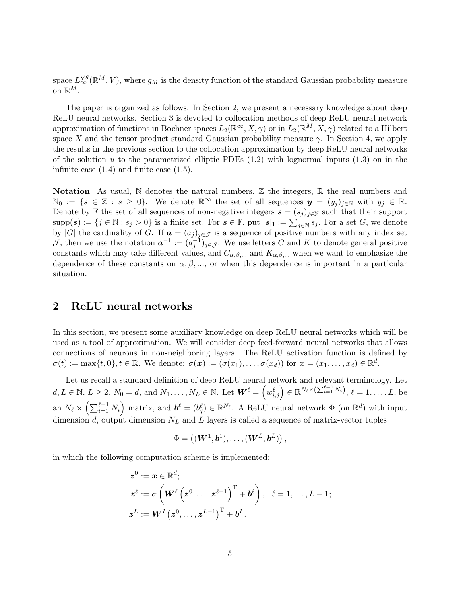space  $L^{\sqrt{g}}_{\infty}(\mathbb{R}^M, V)$ , where  $g_M$  is the density function of the standard Gaussian probability measure on  $\mathbb{R}^M$ .

The paper is organized as follows. In Section [2,](#page-4-0) we present a necessary knowledge about deep ReLU neural networks. Section [3](#page-6-0) is devoted to collocation methods of deep ReLU neural network approximation of functions in Bochner spaces  $L_2(\mathbb{R}^\infty, X, \gamma)$  or in  $L_2(\mathbb{R}^M, \hat{X}, \gamma)$  related to a Hilbert space X and the tensor product standard Gaussian probability measure  $\gamma$ . In Section [4,](#page-22-0) we apply the results in the previous section to the collocation approximation by deep ReLU neural networks of the solution u to the parametrized elliptic PDEs  $(1.2)$  with lognormal inputs  $(1.3)$  on in the infinite case  $(1.4)$  and finite case  $(1.5)$ .

Notation As usual,  $\mathbb N$  denotes the natural numbers,  $\mathbb Z$  the integers,  $\mathbb R$  the real numbers and  $\mathbb{N}_0 := \{s \in \mathbb{Z} : s \geq 0\}.$  We denote  $\mathbb{R}^\infty$  the set of all sequences  $y = (y_i)_{i \in \mathbb{N}}$  with  $y_i \in \mathbb{R}.$ Denote by F the set of all sequences of non-negative integers  $\mathbf{s} = (s_j)_{j \in \mathbb{N}}$  such that their support  $\text{supp}(s) := \{j \in \mathbb{N} : s_j > 0\}$  is a finite set. For  $s \in \mathbb{F}$ , put  $|s|_1 := \sum_{j \in \mathbb{N}} s_j$ . For a set G, we denote by |G| the cardinality of G. If  $\mathbf{a} = (a_j)_{j \in \mathcal{J}}$  is a sequence of positive numbers with any index set J, then we use the notation  $a^{-1} := (a_j^{-1})_{j \in \mathcal{J}}$ . We use letters C and K to denote general positive constants which may take different values, and  $C_{\alpha,\beta,\dots}$  and  $K_{\alpha,\beta,\dots}$  when we want to emphasize the dependence of these constants on  $\alpha, \beta, \dots$ , or when this dependence is important in a particular situation.

# <span id="page-4-0"></span>2 ReLU neural networks

In this section, we present some auxiliary knowledge on deep ReLU neural networks which will be used as a tool of approximation. We will consider deep feed-forward neural networks that allows connections of neurons in non-neighboring layers. The ReLU activation function is defined by  $\sigma(t) := \max\{t, 0\}, t \in \mathbb{R}$ . We denote:  $\sigma(\boldsymbol{x}) := (\sigma(x_1), \dots, \sigma(x_d))$  for  $\boldsymbol{x} = (x_1, \dots, x_d) \in \mathbb{R}^d$ .

Let us recall a standard definition of deep ReLU neural network and relevant terminology. Let  $d, L \in \mathbb{N}, L \geq 2, N_0 = d$ , and  $N_1, \ldots, N_L \in \mathbb{N}$ . Let  $\boldsymbol{W}^{\ell} = \left(w_{i,j}^{\ell}\right) \in \mathbb{R}^{N_{\ell} \times (\sum_{i=1}^{\ell-1} N_i)}, \ell = 1, \ldots, L$ , be an  $N_\ell \times \left( \sum_{i=1}^{\ell-1} N_i \right)$  matrix, and  $\boldsymbol{b}^\ell = (b_j^\ell) \in \mathbb{R}^{N_\ell}$ . A ReLU neural network  $\Phi$  (on  $\mathbb{R}^d$ ) with input dimension d, output dimension  $N_L$  and L layers is called a sequence of matrix-vector tuples

$$
\Phi=\left((\bm{W}^1,\bm{b}^1),\ldots,(\bm{W}^L,\bm{b}^L)\right),
$$

in which the following computation scheme is implemented:

$$
\begin{aligned} \mathbf{z}^0 &:= \mathbf{x} \in \mathbb{R}^d; \\ \mathbf{z}^\ell &:= \sigma \left( \boldsymbol{W}^\ell \left( \boldsymbol{z}^0, \ldots, \boldsymbol{z}^{\ell-1} \right)^{\mathrm{T}} + \boldsymbol{b}^\ell \right), \quad \ell = 1, \ldots, L-1; \\ \mathbf{z}^L &:= \boldsymbol{W}^L \big( \boldsymbol{z}^0, \ldots, \boldsymbol{z}^{L-1} \big)^{\mathrm{T}} + \boldsymbol{b}^L. \end{aligned}
$$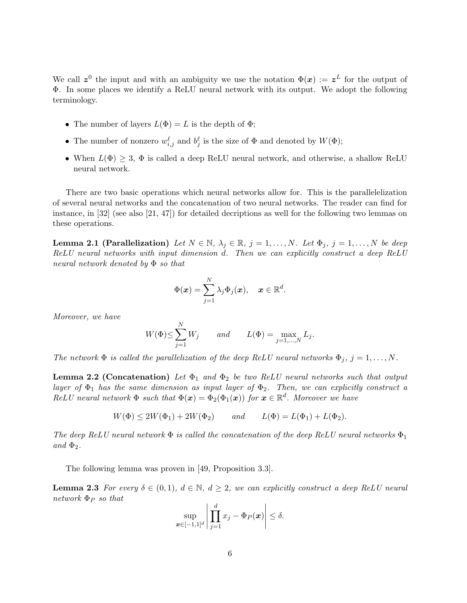We call  $z^0$  the input and with an ambiguity we use the notation  $\Phi(x) := z^L$  for the output of Φ. In some places we identify a ReLU neural network with its output. We adopt the following terminology.

- The number of layers  $L(\Phi) = L$  is the depth of  $\Phi$ ;
- The number of nonzero  $w_{i,j}^{\ell}$  and  $b_j^{\ell}$  is the size of  $\Phi$  and denoted by  $W(\Phi)$ ;
- When  $L(\Phi) \geq 3$ ,  $\Phi$  is called a deep ReLU neural network, and otherwise, a shallow ReLU neural network.

There are two basic operations which neural networks allow for. This is the parallelelization of several neural networks and the concatenation of two neural networks. The reader can find for instance, in [\[32\]](#page-34-3) (see also [\[21,](#page-33-12) [47\]](#page-34-9)) for detailed decriptions as well for the following two lemmas on these operations.

<span id="page-5-1"></span>**Lemma 2.1 (Parallelization)** Let  $N \in \mathbb{N}$ ,  $\lambda_j \in \mathbb{R}$ ,  $j = 1, ..., N$ . Let  $\Phi_j$ ,  $j = 1, ..., N$  be deep ReLU neural networks with input dimension d. Then we can explicitly construct a deep ReLU neural network denoted by Φ so that

$$
\Phi(\boldsymbol{x}) = \sum_{j=1}^N \lambda_j \Phi_j(\boldsymbol{x}), \quad \boldsymbol{x} \in \mathbb{R}^d.
$$

Moreover, we have

$$
W(\Phi) \le \sum_{j=1}^{N} W_j \qquad and \qquad L(\Phi) = \max_{j=1,\dots,N} L_j.
$$

The network  $\Phi$  is called the parallelization of the deep ReLU neural networks  $\Phi_j$ ,  $j = 1, ..., N$ .

**Lemma 2.2 (Concatenation)** Let  $\Phi_1$  and  $\Phi_2$  be two ReLU neural networks such that output layer of  $\Phi_1$  has the same dimension as input layer of  $\Phi_2$ . Then, we can explicitly construct a ReLU neural network  $\Phi$  such that  $\Phi(\mathbf{x}) = \Phi_2(\Phi_1(\mathbf{x}))$  for  $\mathbf{x} \in \mathbb{R}^d$ . Moreover we have

$$
W(\Phi) \le 2W(\Phi_1) + 2W(\Phi_2)
$$
 and  $L(\Phi) = L(\Phi_1) + L(\Phi_2)$ .

The deep ReLU neural network  $\Phi$  is called the concatenation of the deep ReLU neural networks  $\Phi_1$ and  $\Phi_2$ .

The following lemma was proven in [\[49,](#page-35-11) Proposition 3.3].

<sub>N</sub><sub>r</sub>

<span id="page-5-0"></span>**Lemma 2.3** For every  $\delta \in (0,1)$ ,  $d \in \mathbb{N}$ ,  $d \geq 2$ , we can explicitly construct a deep ReLU neural  $network \Phi_P so that$ 

$$
\sup_{\boldsymbol{x}\in[-1,1]^d}\left|\prod_{j=1}^dx_j-\Phi_P(\boldsymbol{x})\right|\leq\delta.
$$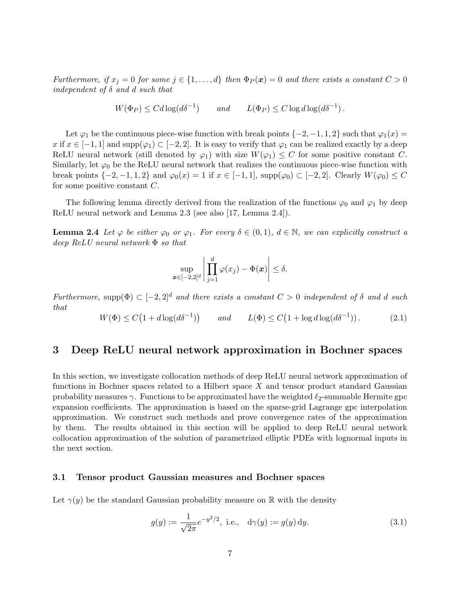Furthermore, if  $x_j = 0$  for some  $j \in \{1, ..., d\}$  then  $\Phi_P(x) = 0$  and there exists a constant  $C > 0$ independent of  $\delta$  and  $d$  such that

$$
W(\Phi_P) \le C d \log(d\delta^{-1}) \qquad \text{and} \qquad L(\Phi_P) \le C \log d \log(d\delta^{-1}).
$$

Let  $\varphi_1$  be the continuous piece-wise function with break points  $\{-2, -1, 1, 2\}$  such that  $\varphi_1(x) =$ x if  $x \in [-1, 1]$  and  $\text{supp}(\varphi_1) \subset [-2, 2]$ . It is easy to verify that  $\varphi_1$  can be realized exactly by a deep ReLU neural network (still denoted by  $\varphi_1$ ) with size  $W(\varphi_1) \leq C$  for some positive constant C. Similarly, let  $\varphi_0$  be the ReLU neural network that realizes the continuous piece-wise function with break points  $\{-2, -1, 1, 2\}$  and  $\varphi_0(x) = 1$  if  $x \in [-1, 1]$ ,  $\text{supp}(\varphi_0) \subset [-2, 2]$ . Clearly  $W(\varphi_0) \leq C$ for some positive constant  $C$ .

The following lemma directly derived from the realization of the functions  $\varphi_0$  and  $\varphi_1$  by deep ReLU neural network and Lemma [2.3](#page-5-0) (see also [\[17,](#page-33-13) Lemma 2.4]).

<span id="page-6-1"></span>**Lemma 2.4** Let  $\varphi$  be either  $\varphi_0$  or  $\varphi_1$ . For every  $\delta \in (0,1)$ ,  $d \in \mathbb{N}$ , we can explicitly construct a deep ReLU neural network Φ so that

$$
\sup_{\boldsymbol{x}\in[-2,2]^d}\left|\prod_{j=1}^d\varphi(x_j)-\Phi(\boldsymbol{x})\right|\leq\delta.
$$

Furthermore, supp $(\Phi) \subset [-2,2]^d$  and there exists a constant  $C > 0$  independent of  $\delta$  and  $d$  such that

$$
W(\Phi) \le C\left(1 + d\log(d\delta^{-1})\right) \qquad \text{and} \qquad L(\Phi) \le C\left(1 + \log d \log(d\delta^{-1})\right). \tag{2.1}
$$

### <span id="page-6-0"></span>3 Deep ReLU neural network approximation in Bochner spaces

In this section, we investigate collocation methods of deep ReLU neural network approximation of functions in Bochner spaces related to a Hilbert space  $X$  and tensor product standard Gaussian probability measures  $\gamma$ . Functions to be approximated have the weighted  $\ell_2$ -summable Hermite gpc expansion coefficients. The approximation is based on the sparse-grid Lagrange gpc interpolation approximation. We construct such methods and prove convergence rates of the approximation by them. The results obtained in this section will be applied to deep ReLU neural network collocation approximation of the solution of parametrized elliptic PDEs with lognormal inputs in the next section.

#### 3.1 Tensor product Gaussian measures and Bochner spaces

Let  $\gamma(y)$  be the standard Gaussian probability measure on R with the density

$$
g(y) := \frac{1}{\sqrt{2\pi}} e^{-y^2/2}, \text{ i.e., } d\gamma(y) := g(y) dy.
$$
 (3.1)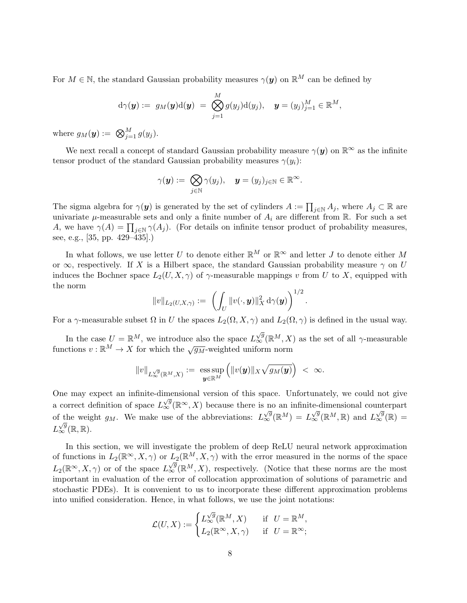For  $M \in \mathbb{N}$ , the standard Gaussian probability measures  $\gamma(\boldsymbol{y})$  on  $\mathbb{R}^M$  can be defined by

<span id="page-7-0"></span>
$$
\mathrm{d}\gamma(\boldsymbol{y}):=\;g_M(\boldsymbol{y})\mathrm{d}(\boldsymbol{y})\;=\;\bigotimes_{j=1}^M g(y_j)\mathrm{d}(y_j),\quad \boldsymbol{y}=(y_j)_{j=1}^M\in\mathbb{R}^M,
$$

where  $g_M(\mathbf{y}) := \bigotimes_{j=1}^M g(y_j)$ .

We next recall a concept of standard Gaussian probability measure  $\gamma(y)$  on  $\mathbb{R}^{\infty}$  as the infinite tensor product of the standard Gaussian probability measures  $\gamma(y_i)$ :

$$
\gamma(\boldsymbol{y}) := \bigotimes_{j \in \mathbb{N}} \gamma(y_j), \quad \boldsymbol{y} = (y_j)_{j \in \mathbb{N}} \in \mathbb{R}^{\infty}.
$$

The sigma algebra for  $\gamma(\mathbf{y})$  is generated by the set of cylinders  $A := \prod_{j \in \mathbb{N}} A_j$ , where  $A_j \subset \mathbb{R}$  are univariate  $\mu$ -measurable sets and only a finite number of  $A_i$  are different from  $\mathbb R$ . For such a set A, we have  $\gamma(A) = \prod_{j \in \mathbb{N}} \gamma(A_j)$ . (For details on infinite tensor product of probability measures, see, e.g., [\[35,](#page-34-13) pp. 429–435].)

In what follows, we use letter U to denote either  $\mathbb{R}^M$  or  $\mathbb{R}^\infty$  and letter J to denote either M or  $\infty$ , respectively. If X is a Hilbert space, the standard Gaussian probability measure  $\gamma$  on U induces the Bochner space  $L_2(U, X, \gamma)$  of  $\gamma$ -measurable mappings v from U to X, equipped with the norm

$$
||v||_{L_2(U,X,\gamma)} := \left( \int_U ||v(\cdot, \bm{y})||_X^2 d\gamma(\bm{y}) \right)^{1/2}.
$$

For a  $\gamma$ -measurable subset  $\Omega$  in U the spaces  $L_2(\Omega, X, \gamma)$  and  $L_2(\Omega, \gamma)$  is defined in the usual way.

In the case  $U = \mathbb{R}^M$ , we introduce also the space  $L^{\sqrt{g}}_{\infty}(\mathbb{R}^M, X)$  as the set of all  $\gamma$ -measurable functions  $v : \mathbb{R}^M \to X$  for which the  $\sqrt{g_M}$ -weighted uniform norm

$$
\|v\|_{L_\infty^{\sqrt g}(\mathbb{R}^M, X)} :=\; \underset{\boldsymbol y\in \mathbb{R}^M}{\mathop{\rm ess\,sup}} \left(\|v(\boldsymbol y)\|_X \sqrt{g_M(\boldsymbol y)}\right)\;<\; \infty.
$$

One may expect an infinite-dimensional version of this space. Unfortunately, we could not give  $\alpha$  correct definition of space  $L^{\sqrt{g}}_{\infty}(\mathbb{R}^{\infty}, X)$  because there is no an infinite-dimensional counterpart of the weight  $g_M$ . We make use of the abbreviations: L  $\chi_{\infty}^{\sqrt{g}}(\mathbb{R}^M) = L_{\infty}^{\sqrt{g}}(\mathbb{R}^M, \mathbb{R})$  and  $L_{\infty}^{\sqrt{g}}(\mathbb{R}) =$  $L_{\infty}^{\sqrt{g}}(\mathbb{R},\mathbb{R}).$ 

In this section, we will investigate the problem of deep ReLU neural network approximation of functions in  $L_2(\mathbb{R}^\infty, X, \gamma)$  or  $L_2(\mathbb{R}^M, X, \gamma)$  with the error measured in the norms of the space  $L_2(\mathbb{R}^\infty, X, \gamma)$  or of the space  $L_\infty^{\sqrt{g}}(\mathbb{R}^M, X)$ , respectively. (Notice that these norms are the most important in evaluation of the error of collocation approximation of solutions of parametric and stochastic PDEs). It is convenient to us to incorporate these different approximation problems into unified consideration. Hence, in what follows, we use the joint notations:

$$
\mathcal{L}(U,X) := \begin{cases} L_{\infty}^{\sqrt{g}}(\mathbb{R}^M, X) & \text{if } U = \mathbb{R}^M, \\ L_2(\mathbb{R}^{\infty}, X, \gamma) & \text{if } U = \mathbb{R}^{\infty}; \end{cases}
$$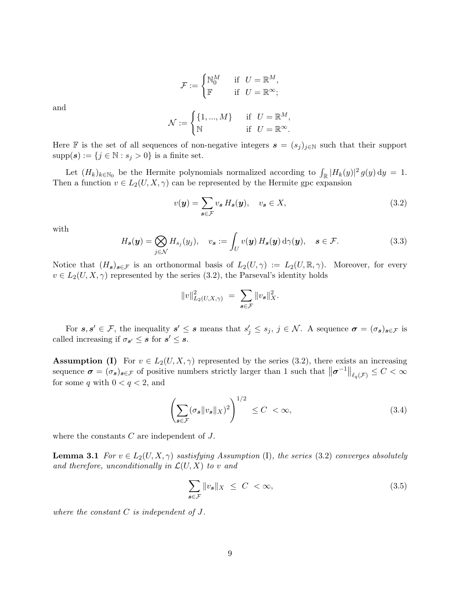$$
\mathcal{F}:=\begin{cases} \mathbb{N}_0^M &\;\;\text{if}\;\; U=\mathbb{R}^M,\\ \mathbb{F}&\;\;\text{if}\;\; U=\mathbb{R}^\infty; \end{cases}
$$

and

$$
\mathcal{N} := \begin{cases} \{1, ..., M\} & \text{if} \quad U = \mathbb{R}^M, \\ \mathbb{N} & \text{if} \quad U = \mathbb{R}^\infty. \end{cases}
$$

Here F is the set of all sequences of non-negative integers  $s = (s_j)_{j\in\mathbb{N}}$  such that their support  $supp(s) := \{j \in \mathbb{N} : s_j > 0\}$  is a finite set.

Let  $(H_k)_{k \in \mathbb{N}_0}$  be the Hermite polynomials normalized according to  $\int_{\mathbb{R}} |H_k(y)|^2 g(y) dy = 1$ . Then a function  $v \in L_2(U, X, \gamma)$  can be represented by the Hermite gpc expansion

$$
v(\mathbf{y}) = \sum_{\mathbf{s} \in \mathcal{F}} v_{\mathbf{s}} H_{\mathbf{s}}(\mathbf{y}), \quad v_{\mathbf{s}} \in X,
$$
\n(3.2)

with

$$
H_s(\mathbf{y}) = \bigotimes_{j \in \mathcal{N}} H_{s_j}(y_j), \quad v_s := \int_U v(\mathbf{y}) H_s(\mathbf{y}) d\gamma(\mathbf{y}), \quad s \in \mathcal{F}.
$$
 (3.3)

Notice that  $(H_s)_{s\in\mathcal{F}}$  is an orthonormal basis of  $L_2(U,\gamma) := L_2(U,\mathbb{R},\gamma)$ . Moreover, for every  $v \in L_2(U, X, \gamma)$  represented by the series [\(3.2\)](#page-7-0), the Parseval's identity holds

$$
||v||_{L_2(U,X,\gamma)}^2 = \sum_{s \in \mathcal{F}} ||v_s||_X^2.
$$

For  $s, s' \in \mathcal{F}$ , the inequality  $s' \leq s$  means that  $s'_j \leq s_j$ ,  $j \in \mathcal{N}$ . A sequence  $\sigma = (\sigma_s)_{s \in \mathcal{F}}$  is called increasing if  $\sigma_{s'} \leq s$  for  $s' \leq s$ .

**Assumption (I)** For  $v \in L_2(U, X, \gamma)$  represented by the series [\(3.2\)](#page-7-0), there exists an increasing sequence  $\sigma = (\sigma_s)_{s \in \mathcal{F}}$  of positive numbers strictly larger than 1 such that  $\|\sigma^{-1}\|_{\ell_q(\mathcal{F})} \leq C < \infty$ for some  $q$  with  $0 < q < 2$ , and

$$
\left(\sum_{s \in \mathcal{F}} (\sigma_s \|v_s\|_X)^2\right)^{1/2} \le C < \infty,\tag{3.4}
$$

<span id="page-8-1"></span>where the constants  $C$  are independent of  $J$ .

**Lemma 3.1** For  $v \in L_2(U, X, \gamma)$  sastisfying Assumption (I), the series [\(3.2\)](#page-7-0) converges absolutely and therefore, unconditionally in  $\mathcal{L}(U, X)$  to v and

<span id="page-8-0"></span>
$$
\sum_{s \in \mathcal{F}} \|v_s\|_X \le C < \infty,\tag{3.5}
$$

where the constant C is independent of J.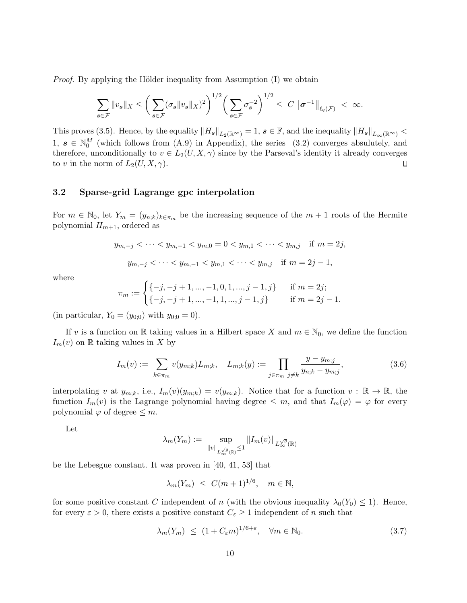*Proof.* By applying the Hölder inequality from Assumption  $(I)$  we obtain

$$
\sum_{\mathbf{s}\in\mathcal{F}}\|v_{\mathbf{s}}\|_{X}\leq\bigg(\sum_{\mathbf{s}\in\mathcal{F}}(\sigma_{\mathbf{s}}\|v_{\mathbf{s}}\|_{X})^{2}\bigg)^{1/2}\bigg(\sum_{\mathbf{s}\in\mathcal{F}}\sigma_{\mathbf{s}}^{-2}\bigg)^{1/2}\leq C\,\|\boldsymbol{\sigma}^{-1}\|_{\ell_{q}(\mathcal{F})}\,<\,\infty.
$$

This proves [\(3.5\)](#page-8-0). Hence, by the equality  $||H_{s}||_{L_2(\mathbb{R}^{\infty})} = 1$ ,  $s \in \mathbb{F}$ , and the inequality  $||H_{s}||_{L_{\infty}(\mathbb{R}^{\infty})}$  <  $1, s \in \mathbb{N}_0^M$  (which follows from [\(A.9\)](#page-26-0) in Appendix), the series [\(3.2\)](#page-7-0) converges absulutely, and therefore, unconditionally to  $v \in L_2(U, X, \gamma)$  since by the Parseval's identity it already converges to v in the norm of  $L_2(U, X, \gamma)$ .  $\Box$ 

### 3.2 Sparse-grid Lagrange gpc interpolation

For  $m \in \mathbb{N}_0$ , let  $Y_m = (y_{n,k})_{k \in \pi_m}$  be the increasing sequence of the  $m+1$  roots of the Hermite polynomial  $H_{m+1}$ , ordered as

$$
y_{m,-j} < \cdots < y_{m,-1} < y_{m,0} = 0 < y_{m,1} < \cdots < y_{m,j} \text{ if } m = 2j,
$$
  

$$
y_{m,-j} < \cdots < y_{m,-1} < y_{m,1} < \cdots < y_{m,j} \text{ if } m = 2j - 1,
$$

where

$$
\pi_m := \begin{cases}\n\{-j, -j+1, ..., -1, 0, 1, ..., j-1, j\} & \text{if } m = 2j; \\
\{-j, -j+1, ..., -1, 1, ..., j-1, j\} & \text{if } m = 2j - 1.\n\end{cases}
$$

(in particular,  $Y_0 = (y_{0,0})$  with  $y_{0,0} = 0$ ).

If v is a function on R taking values in a Hilbert space X and  $m \in \mathbb{N}_0$ , we define the function  $I_m(v)$  on R taking values in X by

$$
I_m(v) := \sum_{k \in \pi_m} v(y_{m;k}) L_{m;k}, \quad L_{m;k}(y) := \prod_{j \in \pi_m} \frac{y - y_{m;j}}{y_{n;k} - y_{m;j}},
$$
(3.6)

interpolating v at  $y_{m;k}$ , i.e.,  $I_m(v)(y_{m;k}) = v(y_{m;k})$ . Notice that for a function  $v : \mathbb{R} \to \mathbb{R}$ , the function  $I_m(v)$  is the Lagrange polynomial having degree  $\leq m$ , and that  $I_m(\varphi) = \varphi$  for every polynomial  $\varphi$  of degree  $\leq m$ .

Let

$$
\lambda_m(Y_m) := \sup_{\|v\|_{L_\infty^{\sqrt{g}}(\mathbb{R})} \le 1} \|I_m(v)\|_{L_\infty^{\sqrt{g}}(\mathbb{R})}
$$

be the Lebesgue constant. It was proven in [\[40,](#page-34-14) [41,](#page-34-15) [53\]](#page-35-12) that

$$
\lambda_m(Y_m) \le C(m+1)^{1/6}, \quad m \in \mathbb{N},
$$

for some positive constant C independent of n (with the obvious inequality  $\lambda_0(Y_0) \leq 1$ ). Hence, for every  $\varepsilon > 0$ , there exists a positive constant  $C_{\varepsilon} \geq 1$  independent of n such that

$$
\lambda_m(Y_m) \le (1 + C_{\varepsilon} m)^{1/6 + \varepsilon}, \quad \forall m \in \mathbb{N}_0. \tag{3.7}
$$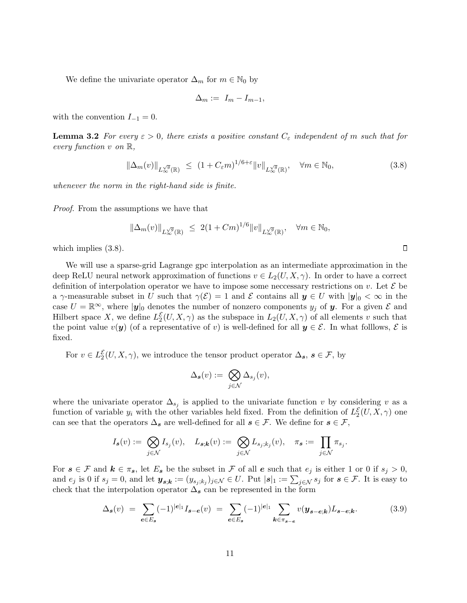We define the univariate operator  $\Delta_m$  for  $m \in \mathbb{N}_0$  by

<span id="page-10-0"></span>
$$
\Delta_m := I_m - I_{m-1},
$$

<span id="page-10-2"></span>with the convention  $I_{-1} = 0$ .

**Lemma 3.2** For every  $\varepsilon > 0$ , there exists a positive constant  $C_{\varepsilon}$  independent of m such that for every function  $v$  on  $\mathbb{R}$ ,

$$
\|\Delta_m(v)\|_{L^{\sqrt{g}}_{\infty}(\mathbb{R})} \le (1 + C_{\varepsilon} m)^{1/6 + \varepsilon} \|v\|_{L^{\sqrt{g}}_{\infty}(\mathbb{R})}, \quad \forall m \in \mathbb{N}_0,
$$
\n(3.8)

 $\Box$ 

whenever the norm in the right-hand side is finite.

Proof. From the assumptions we have that

<span id="page-10-1"></span>
$$
\|\Delta_m(v)\|_{L^{\sqrt{g}}_{\infty}(\mathbb{R})} \leq 2(1+ Cm)^{1/6} \|v\|_{L^{\sqrt{g}}_{\infty}(\mathbb{R})}, \quad \forall m \in \mathbb{N}_0,
$$

which implies [\(3.8\)](#page-10-0).

We will use a sparse-grid Lagrange gpc interpolation as an intermediate approximation in the deep ReLU neural network approximation of functions  $v \in L_2(U, X, \gamma)$ . In order to have a correct definition of interpolation operator we have to impose some neccessary restrictions on v. Let  $\mathcal E$  be a  $\gamma$ -measurable subset in U such that  $\gamma(\mathcal{E}) = 1$  and E contains all  $y \in U$  with  $|y|_0 < \infty$  in the case  $U = \mathbb{R}^{\infty}$ , where  $|\mathbf{y}|_0$  denotes the number of nonzero components  $y_j$  of  $\mathbf{y}$ . For a given  $\mathcal{E}$  and Hilbert space X, we define  $L_2^{\mathcal{E}}(U, X, \gamma)$  as the subspace in  $L_2(U, X, \gamma)$  of all elements v such that the point value  $v(y)$  (of a representative of v) is well-defined for all  $y \in \mathcal{E}$ . In what folllows,  $\mathcal{E}$  is fixed.

For  $v \in L_2^{\mathcal{E}}(U, X, \gamma)$ , we introduce the tensor product operator  $\Delta_s, s \in \mathcal{F}$ , by

$$
\Delta_{\pmb s}(v):=\bigotimes_{j\in\mathcal N}\Delta_{s_j}(v),
$$

where the univariate operator  $\Delta_{s_j}$  is applied to the univariate function v by considering v as a function of variable  $y_i$  with the other variables held fixed. From the definition of  $L_2^{\mathcal{E}}(U, X, \gamma)$  one can see that the operators  $\Delta_s$  are well-defined for all  $s \in \mathcal{F}$ . We define for  $s \in \mathcal{F}$ ,

$$
I_{\pmb s}(v):=\bigotimes_{j\in\mathcal N}I_{s_j}(v),\quad L_{\pmb s;\pmb k}(v):=\bigotimes_{j\in\mathcal N}L_{s_j;k_j}(v),\quad \pi_{\pmb s}:=\,\prod_{j\in\mathcal N}\pi_{s_j}.
$$

For  $s \in \mathcal{F}$  and  $k \in \pi_s$ , let  $E_s$  be the subset in  $\mathcal F$  of all  $e$  such that  $e_j$  is either 1 or 0 if  $s_j > 0$ , and  $e_j$  is 0 if  $s_j = 0$ , and let  $\mathbf{y}_{\mathbf{s},\mathbf{k}} := (y_{s_j;k_j})_{j\in\mathcal{N}} \in U$ . Put  $|\mathbf{s}|_1 := \sum_{j\in\mathcal{N}} s_j$  for  $\mathbf{s} \in \mathcal{F}$ . It is easy to check that the interpolation operator  $\Delta_{s}$  can be represented in the form

$$
\Delta_{\mathbf{s}}(v) = \sum_{\mathbf{e} \in E_{\mathbf{s}}} (-1)^{|\mathbf{e}|_1} I_{\mathbf{s} - \mathbf{e}}(v) = \sum_{\mathbf{e} \in E_{\mathbf{s}}} (-1)^{|\mathbf{e}|_1} \sum_{\mathbf{k} \in \pi_{\mathbf{s} - \mathbf{e}}} v(\mathbf{y}_{\mathbf{s} - \mathbf{e};\mathbf{k}}) L_{\mathbf{s} - \mathbf{e};\mathbf{k}}.
$$
 (3.9)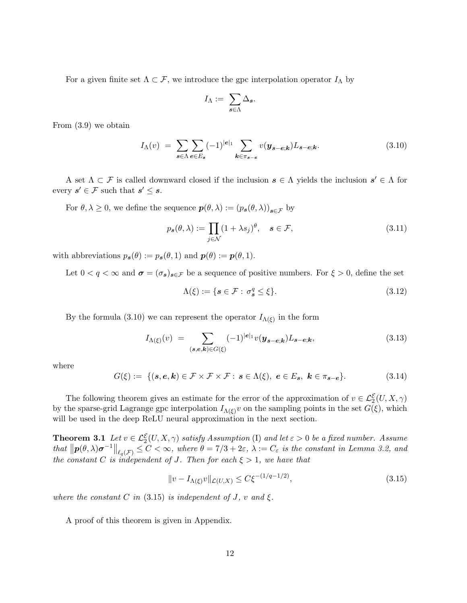For a given finite set  $\Lambda \subset \mathcal{F}$ , we introduce the gpc interpolation operator  $I_{\Lambda}$  by

<span id="page-11-0"></span>
$$
I_\Lambda:=\ \sum_{\bm{s}\in \Lambda} \Delta_{\bm{s}}.
$$

From [\(3.9\)](#page-10-1) we obtain

$$
I_{\Lambda}(v) = \sum_{s \in \Lambda} \sum_{e \in E_s} (-1)^{|e|_1} \sum_{\mathbf{k} \in \pi_{s-e}} v(\mathbf{y}_{s-e;\mathbf{k}}) L_{s-e;\mathbf{k}}.
$$
\n(3.10)

A set  $\Lambda \subset \mathcal{F}$  is called downward closed if the inclusion  $s \in \Lambda$  yields the inclusion  $s' \in \Lambda$  for every  $s' \in \mathcal{F}$  such that  $s' \leq s$ .

For  $\theta, \lambda \geq 0$ , we define the sequence  $p(\theta, \lambda) := (p_{s}(\theta, \lambda))_{s \in \mathcal{F}}$  by

<span id="page-11-3"></span>
$$
p_s(\theta, \lambda) := \prod_{j \in \mathcal{N}} (1 + \lambda s_j)^{\theta}, \quad s \in \mathcal{F}, \tag{3.11}
$$

with abbreviations  $p_s(\theta) := p_s(\theta, 1)$  and  $p(\theta) := p(\theta, 1)$ .

Let  $0 < q < \infty$  and  $\sigma = (\sigma_s)_{s \in \mathcal{F}}$  be a sequence of positive numbers. For  $\xi > 0$ , define the set

$$
\Lambda(\xi) := \{ s \in \mathcal{F} : \sigma_s^q \le \xi \}. \tag{3.12}
$$

By the formula [\(3.10\)](#page-11-0) we can represent the operator  $I_{\Lambda(\xi)}$  in the form

$$
I_{\Lambda(\xi)}(v) = \sum_{(\mathbf{s},\mathbf{e},\mathbf{k}) \in G(\xi)} (-1)^{|\mathbf{e}|_1} v(\mathbf{y}_{\mathbf{s}-\mathbf{e};\mathbf{k}}) L_{\mathbf{s}-\mathbf{e};\mathbf{k}},
$$
\n(3.13)

where

$$
G(\xi) := \{ (\mathbf{s}, \mathbf{e}, \mathbf{k}) \in \mathcal{F} \times \mathcal{F} \times \mathcal{F} : \mathbf{s} \in \Lambda(\xi), \ \mathbf{e} \in E_{\mathbf{s}}, \ \mathbf{k} \in \pi_{\mathbf{s} - \mathbf{e}} \}.
$$

The following theorem gives an estimate for the error of the approximation of  $v \in \mathcal{L}_2^{\mathcal{E}}(U, X, \gamma)$ by the sparse-grid Lagrange gpc interpolation  $I_{\Lambda(\xi)}v$  on the sampling points in the set  $G(\xi)$ , which will be used in the deep ReLU neural approximation in the next section.

<span id="page-11-2"></span>**Theorem 3.1** Let  $v \in \mathcal{L}_2^{\mathcal{E}}(U, X, \gamma)$  satisfy Assumption (I) and let  $\varepsilon > 0$  be a fixed number. Assume that  $\|\mathbf{p}(\theta,\lambda)\boldsymbol{\sigma}^{-1}\|_{\ell_q(\mathcal{F})} \leq C < \infty$ , where  $\theta = 7/3 + 2\varepsilon$ ,  $\lambda := C_{\varepsilon}$  is the constant in Lemma [3.2,](#page-10-2) and the constant C is independent of J. Then for each  $\xi > 1$ , we have that

<span id="page-11-4"></span><span id="page-11-1"></span>
$$
||v - I_{\Lambda(\xi)}v||_{\mathcal{L}(U,X)} \le C\xi^{-(1/q - 1/2)},
$$
\n(3.15)

where the constant C in [\(3.15\)](#page-11-1) is independent of J, v and  $\xi$ .

A proof of this theorem is given in Appendix.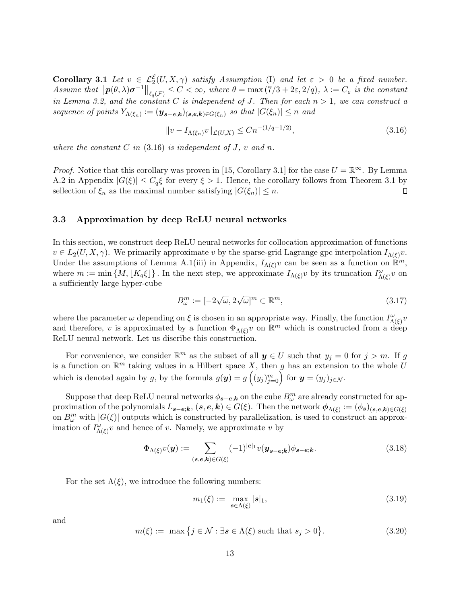**Corollary 3.1** Let  $v \in \mathcal{L}_2^{\mathcal{E}}(U, X, \gamma)$  satisfy Assumption (I) and let  $\varepsilon > 0$  be a fixed number. Assume that  $||p(\theta, \lambda)\sigma^{-1}||_{\ell_q(\mathcal{F})} \leq C < \infty$ , where  $\theta = \max(7/3 + 2\varepsilon, 2/q)$ ,  $\lambda := C_{\varepsilon}$  is the constant in Lemma [3.2,](#page-10-2) and the constant C is independent of J. Then for each  $n > 1$ , we can construct a sequence of points  $Y_{\Lambda(\xi_n)} := (\mathbf{y}_{\mathbf{s}-\mathbf{e};\mathbf{k}})_{(\mathbf{s},\mathbf{e},\mathbf{k}) \in G(\xi_n)}$  so that  $|G(\xi_n)| \leq n$  and

<span id="page-12-0"></span>
$$
||v - I_{\Lambda(\xi_n)}v||_{\mathcal{L}(U,X)} \le Cn^{-(1/q - 1/2)},
$$
\n(3.16)

where the constant  $C$  in [\(3.16\)](#page-12-0) is independent of  $J$ ,  $v$  and  $n$ .

*Proof.* Notice that this corollary was proven in [\[15,](#page-32-10) Corollary 3.1] for the case  $U = \mathbb{R}^{\infty}$ . By Lemma [A.2](#page-25-0) in Appendix  $|G(\xi)| \leq C_q \xi$  for every  $\xi > 1$ . Hence, the corollary follows from Theorem [3.1](#page-11-2) by sellection of  $\xi_n$  as the maximal number satisfying  $|G(\xi_n)| \leq n$ .  $\Box$ 

#### 3.3 Approximation by deep ReLU neural networks

In this section, we construct deep ReLU neural networks for collocation approximation of functions  $v \in L_2(U, X, \gamma)$ . We primarily approximate v by the sparse-grid Lagrange gpc interpolation  $I_{\Lambda(\xi)}v$ . Under the assumptions of Lemma [A.1\(](#page-25-1)iii) in Appendix,  $I_{\Lambda(\xi)}v$  can be seen as a function on  $\mathbb{R}^m$ , where  $m := \min \{M, \lfloor K_q \xi \rfloor \}$ . In the next step, we approximate  $I_{\Lambda(\xi)}v$  by its truncation  $I_{\Lambda(\xi)}^{\omega}v$  on a sufficiently large hyper-cube

$$
B_{\omega}^{m} := [-2\sqrt{\omega}, 2\sqrt{\omega}]^{m} \subset \mathbb{R}^{m}, \qquad (3.17)
$$

where the parameter  $\omega$  depending on  $\xi$  is chosen in an appropriate way. Finally, the function  $I_{\Lambda(\xi)}^{\omega}v$ and therefore, v is approximated by a function  $\Phi_{\Lambda(\xi)}v$  on  $\mathbb{R}^m$  which is constructed from a deep ReLU neural network. Let us discribe this construction.

For convenience, we consider  $\mathbb{R}^m$  as the subset of all  $y \in U$  such that  $y_j = 0$  for  $j > m$ . If g is a function on  $\mathbb{R}^m$  taking values in a Hilbert space X, then g has an extension to the whole U which is denoted again by g, by the formula  $g(\mathbf{y}) = g\left((y_j)_{j=0}^m\right)$  for  $\mathbf{y} = (y_j)_{j \in \mathcal{N}}$ .

Suppose that deep ReLU neural networks  $\phi_{s-e;\mathbf{k}}$  on the cube  $B^m_\omega$  are already constructed for approximation of the polynomials  $L_{\mathbf{s}-\mathbf{e};\mathbf{k}}$ ,  $(\mathbf{s},\mathbf{e},\mathbf{k}) \in G(\xi)$ . Then the network  $\phi_{\Lambda(\xi)} := (\phi_{\mathbf{s}})_{(\mathbf{s},\mathbf{e},\mathbf{k}) \in G(\xi)}$ on  $B_{\omega}^{m}$  with  $|G(\xi)|$  outputs which is constructed by parallelization, is used to construct an approximation of  $I_{\Lambda(\xi)}^{\omega}v$  and hence of v. Namely, we approximate v by

<span id="page-12-1"></span>
$$
\Phi_{\Lambda(\xi)}v(\mathbf{y}) := \sum_{(\mathbf{s},\mathbf{e},\mathbf{k}) \in G(\xi)} (-1)^{|\mathbf{e}|_1} v(\mathbf{y}_{\mathbf{s}-\mathbf{e};\mathbf{k}}) \phi_{\mathbf{s}-\mathbf{e};\mathbf{k}}.\tag{3.18}
$$

For the set  $\Lambda(\xi)$ , we introduce the following numbers:

$$
m_1(\xi) := \max_{s \in \Lambda(\xi)} |s|_1,\tag{3.19}
$$

and

$$
m(\xi) := \max\left\{j \in \mathcal{N} : \exists s \in \Lambda(\xi) \text{ such that } s_j > 0\right\}.
$$
 (3.20)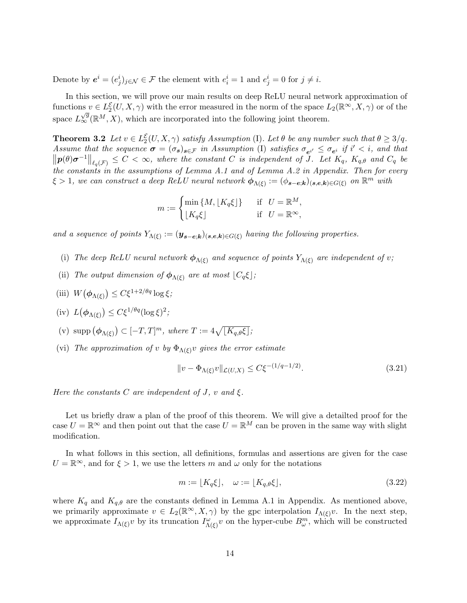Denote by  $e^i = (e^i_j)_{j \in \mathcal{N}} \in \mathcal{F}$  the element with  $e^i_i = 1$  and  $e^i_j = 0$  for  $j \neq i$ .

In this section, we will prove our main results on deep ReLU neural network approximation of functions  $v \in L_2^{\mathcal{E}}(U, X, \gamma)$  with the error measured in the norm of the space  $L_2(\mathbb{R}^\infty, X, \gamma)$  or of the space  $L^{\sqrt{g}}_{\infty}(\mathbb{R}^M, X)$ , which are incorporated into the following joint theorem.

<span id="page-13-0"></span>**Theorem 3.2** Let  $v \in L_2^{\mathcal{E}}(U, X, \gamma)$  satisfy Assumption (I). Let  $\theta$  be any number such that  $\theta \geq 3/q$ . Assume that the sequence  $\sigma = (\sigma_s)_{s \in \mathcal{F}}$  in Assumption (I) satisfies  $\sigma_{e^{i'}} \leq \sigma_{e^{i}}$  if  $i' < i$ , and that  $\left\Vert p(\theta)\sigma^{-1}\right\Vert _{\ell_{q}(\mathcal{F})}\leq C<\infty,$  where the constant C is independent of J. Let  $K_{q}, K_{q,\theta}$  and  $C_{q}$  be the constants in the assumptions of Lemma [A.1](#page-25-1) and of Lemma [A.2](#page-25-0) in Appendix. Then for every  $\xi > 1$ , we can construct a deep ReLU neural network  $\phi_{\Lambda(\xi)} := (\phi_{\mathbf{s}-\mathbf{e};\mathbf{k}})_{(\mathbf{s},\mathbf{e},\mathbf{k}) \in G(\xi)}$  on  $\mathbb{R}^m$  with

<span id="page-13-1"></span>
$$
m := \begin{cases} \min\left\{M, \lfloor K_q \xi \rfloor\right\} & \text{if} \quad U = \mathbb{R}^M, \\ \lfloor K_q \xi \rfloor & \text{if} \quad U = \mathbb{R}^\infty, \end{cases}
$$

and a sequence of points  $Y_{\Lambda(\xi)} := (\mathbf{y}_{\mathbf{s}-\mathbf{e};\mathbf{k}})_{(\mathbf{s},\mathbf{e},\mathbf{k})\in G(\xi)}$  having the following properties.

- (i) The deep ReLU neural network  $\phi_{\Lambda(\xi)}$  and sequence of points  $Y_{\Lambda(\xi)}$  are independent of v;
- (ii) The output dimension of  $\phi_{\Lambda(\xi)}$  are at most  $\lfloor C_q \xi \rfloor$ ;

$$
\text{(iii)}\ \ W\big(\boldsymbol{\phi}_{\Lambda(\xi)}\big) \leq C\xi^{1+2/\theta q} \log \xi;
$$

- (iv)  $L(\phi_{\Lambda(\xi)}) \leq C \xi^{1/\theta q} (\log \xi)^2;$
- (v)  $\text{supp}(\phi_{\Lambda(\xi)}) \subset [-T,T]^m$ , where  $T := 4\sqrt{[K_{q,\theta}\xi]}$ ;
- (vi) The approximation of v by  $\Phi_{\Lambda(\xi)}v$  gives the error estimate

$$
||v - \Phi_{\Lambda(\xi)}v||_{\mathcal{L}(U,X)} \le C\xi^{-(1/q - 1/2)}.
$$
\n(3.21)

Here the constants C are independent of J, v and  $\xi$ .

Let us briefly draw a plan of the proof of this theorem. We will give a detailted proof for the case  $U = \mathbb{R}^{\infty}$  and then point out that the case  $U = \mathbb{R}^{M}$  can be proven in the same way with slight modification.

In what follows in this section, all definitions, formulas and assertions are given for the case  $U = \mathbb{R}^{\infty}$ , and for  $\xi > 1$ , we use the letters m and  $\omega$  only for the notations

<span id="page-13-2"></span>
$$
m := \lfloor K_q \xi \rfloor, \quad \omega := \lfloor K_{q,\theta} \xi \rfloor,\tag{3.22}
$$

where  $K_q$  and  $K_{q,\theta}$  are the constants defined in Lemma [A.1](#page-25-1) in Appendix. As mentioned above, we primarily approximate  $v \in L_2(\mathbb{R}^\infty, X, \gamma)$  by the gpc interpolation  $I_{\Lambda(\xi)}v$ . In the next step, we approximate  $I_{\Lambda(\xi)}v$  by its truncation  $I_{\Lambda(\xi)}^{\omega}v$  on the hyper-cube  $B_{\omega}^{m}$ , which will be constructed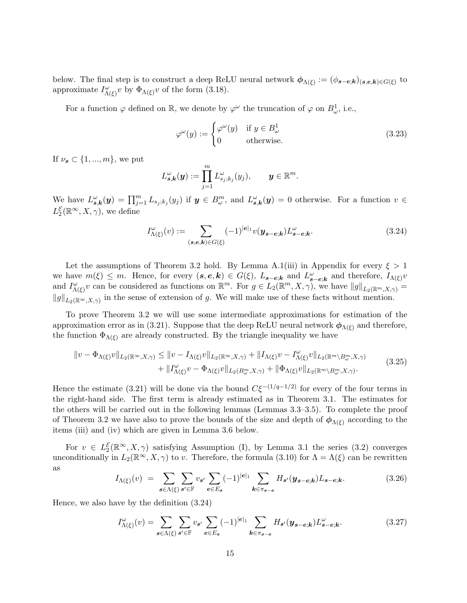below. The final step is to construct a deep ReLU neural network  $\phi_{\Lambda(\xi)} := (\phi_{s-e,k})_{(s,e,k)\in G(\xi)}$  to approximate  $I_{\Lambda(\xi)}^{\omega}v$  by  $\Phi_{\Lambda(\xi)}v$  of the form [\(3.18\)](#page-12-1).

For a function  $\varphi$  defined on  $\mathbb{R}$ , we denote by  $\varphi^{\omega}$  the truncation of  $\varphi$  on  $B_{\omega}^{1}$ , i.e.,

$$
\varphi^{\omega}(y) := \begin{cases} \varphi^{\omega}(y) & \text{if } y \in B_{\omega}^{1} \\ 0 & \text{otherwise.} \end{cases}
$$
 (3.23)

If  $\nu_{s} \subset \{1, ..., m\}$ , we put

$$
L_{\mathbf{s},\mathbf{k}}^{\omega}(\mathbf{y}) := \prod_{j=1}^{m} L_{s_j;k_j}^{\omega}(y_j), \qquad \mathbf{y} \in \mathbb{R}^m.
$$

We have  $L_{s,k}^{\omega}(y) = \prod_{j=1}^{m} L_{s_j;k_j}(y_j)$  if  $y \in B_{\omega}^m$ , and  $L_{s,k}^{\omega}(y) = 0$  otherwise. For a function  $v \in$  $L_2^{\mathcal{E}}(\mathbb{R}^\infty, X, \gamma)$ , we define

<span id="page-14-1"></span>
$$
I_{\Lambda(\xi)}^{\omega}(v) := \sum_{(\mathbf{s},\mathbf{e},\mathbf{k}) \in G(\xi)} (-1)^{|\mathbf{e}|_1} v(\mathbf{y}_{\mathbf{s}-\mathbf{e};\mathbf{k}}) L_{\mathbf{s}-\mathbf{e};\mathbf{k}}^{\omega}.
$$
 (3.24)

Let the assumptions of Theorem [3.2](#page-13-0) hold. By Lemma [A.1\(](#page-25-1)iii) in Appendix for every  $\xi > 1$ we have  $m(\xi) \leq m$ . Hence, for every  $(s, e, k) \in G(\xi)$ ,  $L_{s-e;k}$  and  $L_{s-e;k}^{\omega}$  and therefore,  $I_{\Lambda(\xi)}v$ and  $I_{\Lambda(\xi)}^{\omega}v$  can be considered as functions on  $\mathbb{R}^m$ . For  $g \in L_2(\mathbb{R}^m, X, \gamma)$ , we have  $||g||_{L_2(\mathbb{R}^m, X, \gamma)} =$  $||g||_{L_2(\mathbb{R}^\infty, X, \gamma)}$  in the sense of extension of g. We will make use of these facts without mention.

To prove Theorem [3.2](#page-13-0) we will use some intermediate approximations for estimation of the approximation error as in [\(3.21\)](#page-13-1). Suppose that the deep ReLU neural network  $\phi_{\Lambda(\xi)}$  and therefore, the function  $\Phi_{\Lambda(\xi)}$  are already constructed. By the triangle inequality we have

<span id="page-14-4"></span>
$$
\|v - \Phi_{\Lambda(\xi)}v\|_{L_2(\mathbb{R}^\infty, X, \gamma)} \le \|v - I_{\Lambda(\xi)}v\|_{L_2(\mathbb{R}^\infty, X, \gamma)} + \|I_{\Lambda(\xi)}v - I_{\Lambda(\xi)}^\omega v\|_{L_2(\mathbb{R}^m \setminus B_\omega^m, X, \gamma)} + \|I_{\Lambda(\xi)}^\omega v - \Phi_{\Lambda(\xi)}v\|_{L_2(B_\omega^m, X, \gamma)} + \|\Phi_{\Lambda(\xi)}v\|_{L_2(\mathbb{R}^m \setminus B_\omega^m, X, \gamma)}.
$$
\n(3.25)

Hence the estimate [\(3.21\)](#page-13-1) will be done via the bound  $C\xi^{-(1/q-1/2)}$  for every of the four terms in the right-hand side. The first term is already estimated as in Theorem [3.1.](#page-11-2) The estimates for the others will be carried out in the following lemmas (Lemmas [3.3–](#page-14-0)[3.5\)](#page-18-0). To complete the proof of Theorem [3.2](#page-13-0) we have also to prove the bounds of the size and depth of  $\phi_{\Lambda(\xi)}$  according to the items (iii) and (iv) which are given in Lemma [3.6](#page-20-0) below.

For  $v \in L_2^{\mathcal{E}}(\mathbb{R}^{\infty}, X, \gamma)$  satisfying Assumption (I), by Lemma [3.1](#page-8-1) the series [\(3.2\)](#page-7-0) converges unconditionally in  $L_2(\mathbb{R}^\infty, X, \gamma)$  to v. Therefore, the formula [\(3.10\)](#page-11-0) for  $\Lambda = \Lambda(\xi)$  can be rewritten as

<span id="page-14-2"></span>
$$
I_{\Lambda(\xi)}(v) = \sum_{s \in \Lambda(\xi)} \sum_{s' \in \mathbb{F}} v_{s'} \sum_{e \in E_s} (-1)^{|e|_1} \sum_{k \in \pi_{s-e}} H_{s'}(y_{s-e;k}) L_{s-e;k}.
$$
 (3.26)

<span id="page-14-0"></span>Hence, we also have by the definition [\(3.24\)](#page-14-1)

<span id="page-14-3"></span>
$$
I_{\Lambda(\xi)}^{\omega}(v) = \sum_{\mathbf{s}\in\Lambda(\xi)} \sum_{\mathbf{s}'\in\mathbb{F}} v_{\mathbf{s}'} \sum_{\mathbf{e}\in E_{\mathbf{s}}} (-1)^{|\mathbf{e}|_1} \sum_{\mathbf{k}\in\pi_{\mathbf{s}-\mathbf{e}}} H_{\mathbf{s}'}(\mathbf{y}_{\mathbf{s}-\mathbf{e};\mathbf{k}}) L_{\mathbf{s}-\mathbf{e};\mathbf{k}}^{\omega}.
$$
 (3.27)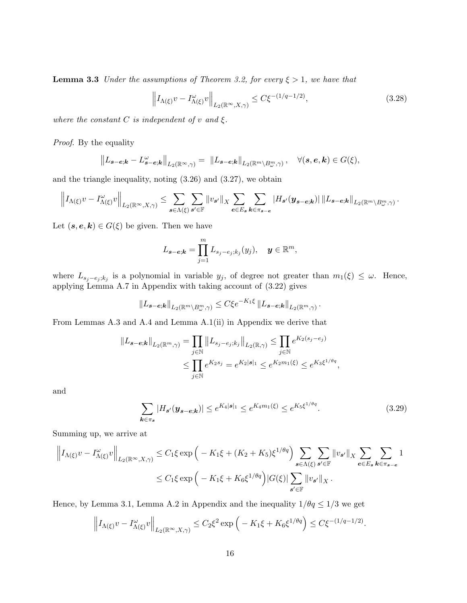**Lemma 3.3** Under the assumptions of Theorem [3.2,](#page-13-0) for every  $\xi > 1$ , we have that

$$
\left\| I_{\Lambda(\xi)} v - I_{\Lambda(\xi)}^{\omega} v \right\|_{L_2(\mathbb{R}^\infty, X, \gamma)} \le C \xi^{-(1/q - 1/2)},\tag{3.28}
$$

where the constant C is independent of v and  $\xi$ .

Proof. By the equality

$$
||L_{\mathbf{s}-\mathbf{e};\mathbf{k}}-L_{\mathbf{s}-\mathbf{e};\mathbf{k}}^{\omega}||_{L_2(\mathbb{R}^\infty,\gamma)}=||L_{\mathbf{s}-\mathbf{e};\mathbf{k}}||_{L_2(\mathbb{R}^m\setminus B^m_\omega,\gamma)},\quad \forall (\mathbf{s},\mathbf{e},\mathbf{k})\in G(\xi),
$$

and the triangle inequality, noting  $(3.26)$  and  $(3.27)$ , we obtain

$$
\left\|I_{\Lambda(\xi)}v - I_{\Lambda(\xi)}^{\omega}v\right\|_{L_2(\mathbb{R}^\infty, X, \gamma)} \leq \sum_{s \in \Lambda(\xi)} \sum_{s' \in \mathbb{F}}\|v_{s'}\|_X \sum_{e \in E_s} \sum_{k \in \pi_{s-e}}|H_{s'}(y_{s-e;k})|\, \|L_{s-e;k}\|_{L_2(\mathbb{R}^m \setminus B^m_\omega, \gamma)}.
$$

Let  $(s, e, k) \in G(\xi)$  be given. Then we have

$$
L_{\mathbf{s}-\mathbf{e};\mathbf{k}} = \prod_{j=1}^m L_{s_j-e_j;k_j}(y_j), \quad \mathbf{y} \in \mathbb{R}^m,
$$

where  $L_{s_j-e_j;k_j}$  is a polynomial in variable  $y_j$ , of degree not greater than  $m_1(\xi) \leq \omega$ . Hence, applying Lemma [A.7](#page-29-0) in Appendix with taking account of [\(3.22\)](#page-13-2) gives

$$
\|L_{\mathbf{s}-\mathbf{e};\mathbf{k}}\|_{L_2(\mathbb{R}^m \setminus B^m_{\omega}, \gamma)} \leq C \xi e^{-K_1 \xi} \|L_{\mathbf{s}-\mathbf{e};\mathbf{k}}\|_{L_2(\mathbb{R}^m, \gamma)}
$$

From Lemmas [A.3](#page-26-1) and [A.4](#page-27-0) and Lemma [A.1\(](#page-25-1)ii) in Appendix we derive that

$$
||L_{\mathbf{s}-\mathbf{e};\mathbf{k}}||_{L_2(\mathbb{R}^m,\gamma)} = \prod_{j\in\mathbb{N}} ||L_{s_j-e_j;k_j}||_{L_2(\mathbb{R},\gamma)} \le \prod_{j\in\mathbb{N}} e^{K_2(s_j-e_j)} \le \prod_{j\in\mathbb{N}} e^{K_2s_j} = e^{K_2|\mathbf{s}|_1} \le e^{K_2m_1(\xi)} \le e^{K_3\xi^{1/\theta q}},
$$

and

$$
\sum_{k \in \pi_s} |H_{s'}(\mathbf{y}_{s-e;k})| \le e^{K_4|s|_1} \le e^{K_4m_1(\xi)} \le e^{K_5\xi^{1/\theta q}}.\tag{3.29}
$$

<span id="page-15-0"></span>.

Summing up, we arrive at

$$
\left\|I_{\Lambda(\xi)}v - I_{\Lambda(\xi)}^{\omega}v\right\|_{L_2(\mathbb{R}^\infty, X, \gamma)} \leq C_1\xi \exp\left(-K_1\xi + (K_2 + K_5)\xi^{1/\theta q}\right) \sum_{\mathbf{s}\in\Lambda(\xi)} \sum_{\mathbf{s}'\in\mathbb{F}} \|v_{\mathbf{s}'}\|_X \sum_{\mathbf{e}\in E_{\mathbf{s}}} \sum_{\mathbf{k}\in\pi_{\mathbf{s}-\mathbf{e}}} 1
$$
  

$$
\leq C_1\xi \exp\left(-K_1\xi + K_6\xi^{1/\theta q}\right) |G(\xi)| \sum_{\mathbf{s}'\in\mathbb{F}} \|v_{\mathbf{s}'}\|_X.
$$

Hence, by Lemma [3.1,](#page-8-1) Lemma [A.2](#page-25-0) in Appendix and the inequality  $1/\theta q \le 1/3$  we get

$$
\left\|I_{\Lambda(\xi)}v - I_{\Lambda(\xi)}^{\omega}v\right\|_{L_2(\mathbb{R}^\infty, X, \gamma)} \leq C_2\xi^2 \exp\left(-K_1\xi + K_6\xi^{1/\theta q}\right) \leq C\xi^{-(1/q - 1/2)}.
$$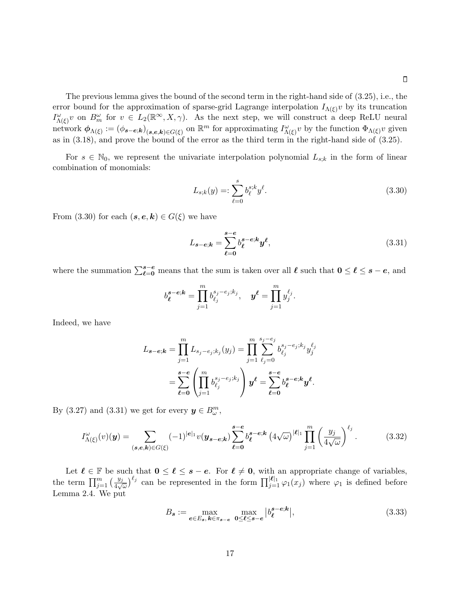The previous lemma gives the bound of the second term in the right-hand side of [\(3.25\)](#page-14-4), i.e., the error bound for the approximation of sparse-grid Lagrange interpolation  $I_{\Lambda(\xi)}v$  by its truncation  $I_{\Lambda(\xi)}^{\omega}v$  on  $B_m^{\omega}$  for  $v \in L_2(\mathbb{R}^{\infty}, X, \gamma)$ . As the next step, we will construct a deep ReLU neural network  $\phi_{\Lambda(\xi)} := (\phi_{\mathbf{s}-\mathbf{e};\mathbf{k}})_{(\mathbf{s},\mathbf{e},\mathbf{k})\in G(\xi)}$  on  $\mathbb{R}^m$  for approximating  $I_{\Lambda(\xi)}^{\omega}v$  by the function  $\Phi_{\Lambda(\xi)}v$  given as in [\(3.18\)](#page-12-1), and prove the bound of the error as the third term in the right-hand side of [\(3.25\)](#page-14-4).

For  $s \in \mathbb{N}_0$ , we represent the univariate interpolation polynomial  $L_{s;k}$  in the form of linear combination of monomials:

<span id="page-16-0"></span>
$$
L_{s,k}(y) =: \sum_{\ell=0}^{s} b_{\ell}^{s,k} y^{\ell}.
$$
\n(3.30)

From [\(3.30\)](#page-16-0) for each  $(s, e, k) \in G(\xi)$  we have

<span id="page-16-1"></span>
$$
L_{s-e;k} = \sum_{\ell=0}^{s-e} b_{\ell}^{s-e;k} y^{\ell},
$$
\n(3.31)

where the summation  $\sum_{\ell=0}^{s-e}$  means that the sum is taken over all  $\ell$  such that  $0 \leq \ell \leq s - e$ , and

$$
b_{\ell}^{s-e;k} = \prod_{j=1}^{m} b_{\ell_j}^{s_j-e_j;k_j}, \quad y^{\ell} = \prod_{j=1}^{m} y_j^{\ell_j}.
$$

Indeed, we have

$$
L_{\mathbf{s}-\mathbf{e};\mathbf{k}} = \prod_{j=1}^{m} L_{s_j - e_j; k_j}(y_j) = \prod_{j=1}^{m} \sum_{\ell_j=0}^{s_j - e_j} b_{\ell_j}^{s_j - e_j; k_j} y_j^{\ell_j}
$$
  
= 
$$
\sum_{\ell=0}^{s-\mathbf{e}} \left( \prod_{j=1}^{m} b_{\ell_j}^{s_j - e_j; k_j} \right) \mathbf{y}^{\ell} = \sum_{\ell=0}^{s-\mathbf{e}} b_{\ell}^{s-\mathbf{e};\mathbf{k}} \mathbf{y}^{\ell}.
$$

By [\(3.27\)](#page-14-3) and [\(3.31\)](#page-16-1) we get for every  $y \in B_{\omega}^{m}$ ,

$$
I_{\Lambda(\xi)}^{\omega}(v)(\mathbf{y}) = \sum_{(\mathbf{s},\mathbf{e},\mathbf{k}) \in G(\xi)} (-1)^{|\mathbf{e}|_1} v(\mathbf{y}_{\mathbf{s}-\mathbf{e};\mathbf{k}}) \sum_{\ell=0}^{\mathbf{s}-\mathbf{e}} b_{\ell}^{\mathbf{s}-\mathbf{e};\mathbf{k}} \left( 4\sqrt{\omega} \right)^{|\ell|_1} \prod_{j=1}^{m} \left( \frac{y_j}{4\sqrt{\omega}} \right)^{\ell_j} . \tag{3.32}
$$

Let  $\ell \in \mathbb{F}$  be such that  $0 \leq \ell \leq s - e$ . For  $\ell \neq 0$ , with an appropriate change of variables, the term  $\prod_{j=1}^m \left(\frac{y_j}{4\sqrt{\omega}}\right)^{\ell_j}$  can be represented in the form  $\prod_{j=1}^{|\ell|_1} \varphi_1(x_j)$  where  $\varphi_1$  is defined before Lemma [2.4.](#page-6-1) We put

<span id="page-16-2"></span>
$$
B_s := \max_{e \in E_s, k \in \pi_{s-e}} \max_{0 \le \ell \le s-e} |b_{\ell}^{s-e;k}|,\tag{3.33}
$$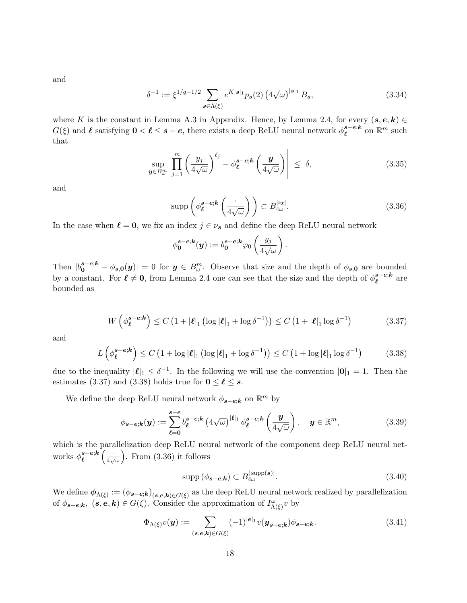and

<span id="page-17-5"></span>
$$
\delta^{-1} := \xi^{1/q - 1/2} \sum_{\mathbf{s} \in \Lambda(\xi)} e^{K|\mathbf{s}|_1} p_{\mathbf{s}}(2) \left( 4\sqrt{\omega} \right)^{|\mathbf{s}|_1} B_{\mathbf{s}},\tag{3.34}
$$

where K is the constant in Lemma [A.3](#page-26-1) in Appendix. Hence, by Lemma [2.4,](#page-6-1) for every  $(s, e, k)$  $G(\xi)$  and  $\ell$  satisfying  $0 < \ell \leq s - e$ , there exists a deep ReLU neural network  $\phi_{\ell}^{s-e;k}$  $_{\ell}^{s-e;k}$  on  $\mathbb{R}^{m}$  such that

$$
\sup_{\boldsymbol{y}\in B_{\omega}^{m}}\left|\prod_{j=1}^{m}\left(\frac{y_{j}}{4\sqrt{\omega}}\right)^{\ell_{j}}-\phi_{\ell}^{s-e;k}\left(\frac{\boldsymbol{y}}{4\sqrt{\omega}}\right)\right| \leq \delta,\tag{3.35}
$$

and

<span id="page-17-4"></span><span id="page-17-2"></span>
$$
\operatorname{supp}\left(\phi_{\ell}^{s-e;k}\left(\frac{\cdot}{4\sqrt{\omega}}\right)\right) \subset B_{4\omega}^{|\nu_{\ell}|}.\tag{3.36}
$$

In the case when  $\ell = 0$ , we fix an index  $j \in \nu_s$  and define the deep ReLU neural network

<span id="page-17-1"></span><span id="page-17-0"></span>
$$
\phi_{\mathbf{0}}^{\mathbf{s}-\mathbf{e};\mathbf{k}}(\mathbf{y}) := b_{\mathbf{0}}^{\mathbf{s}-\mathbf{e};\mathbf{k}} \varphi_{0} \left( \frac{y_{j}}{4\sqrt{\omega}} \right).
$$

Then  $|b_0^{s-e;k} - \phi_{s,0}(y)| = 0$  for  $y \in B_{\omega}^m$ . Observe that size and the depth of  $\phi_{s,0}$  are bounded by a constant. For  $\ell \neq 0$ , from Lemma [2.4](#page-6-1) one can see that the size and the depth of  $\phi_{\ell}^{s-e;k}$  $_{\ell}^{s-e;\kappa}$  are bounded as

$$
W\left(\phi_{\ell}^{s-e;k}\right) \le C\left(1+|\ell|_1\left(\log|\ell|_1+\log \delta^{-1}\right)\right) \le C\left(1+|\ell|_1\log \delta^{-1}\right) \tag{3.37}
$$

and

$$
L\left(\phi_{\ell}^{\mathbf{s}-\mathbf{e};\mathbf{k}}\right) \le C\left(1+\log|\ell|_1\left(\log|\ell|_1+\log\delta^{-1}\right)\right) \le C\left(1+\log|\ell|_1\log\delta^{-1}\right) \tag{3.38}
$$

due to the inequality  $|\ell|_1 \leq \delta^{-1}$ . In the following we will use the convention  $|\mathbf{0}|_1 = 1$ . Then the estimates [\(3.37\)](#page-17-0) and [\(3.38\)](#page-17-1) holds true for  $0 \le \ell \le s$ .

We define the deep ReLU neural network  $\phi_{s-e;k}$  on  $\mathbb{R}^m$  by

$$
\phi_{s-e;k}(y) := \sum_{\ell=0}^{s-e} b_{\ell}^{s-e;k} \left(4\sqrt{\omega}\right)^{|\ell|_1} \phi_{\ell}^{s-e;k}\left(\frac{y}{4\sqrt{\omega}}\right), \quad y \in \mathbb{R}^m,
$$
\n(3.39)

which is the parallelization deep ReLU neural network of the component deep ReLU neural networks  $\phi_{\ell}^{s-e;k}$  $\stackrel{s-e}{\ell}^{k}\Big(\frac{\cdot}{4\nu}$  $\frac{1}{4\sqrt{\omega}}$ ). From  $(3.36)$  it follows

<span id="page-17-6"></span>
$$
supp\left(\phi_{\mathbf{s}-\mathbf{e};\mathbf{k}}\right) \subset B_{4\omega}^{\left|\text{supp}(\mathbf{s})\right|}.
$$
\n(3.40)

We define  $\phi_{\Lambda(\xi)} := (\phi_{s-e,k})_{(s,e,k) \in G(\xi)}$  as the deep ReLU neural network realized by parallelization of  $\phi_{s-e;k}, (s, e, k) \in G(\xi)$ . Consider the approximation of  $I_{\Lambda(\xi)}^{\omega}v$  by

<span id="page-17-3"></span>
$$
\Phi_{\Lambda(\xi)}v(\mathbf{y}) := \sum_{(\mathbf{s},\mathbf{e},\mathbf{k}) \in G(\xi)} (-1)^{|\mathbf{e}|_1} v(\mathbf{y}_{\mathbf{s}-\mathbf{e};\mathbf{k}}) \phi_{\mathbf{s}-\mathbf{e};\mathbf{k}}.
$$
\n(3.41)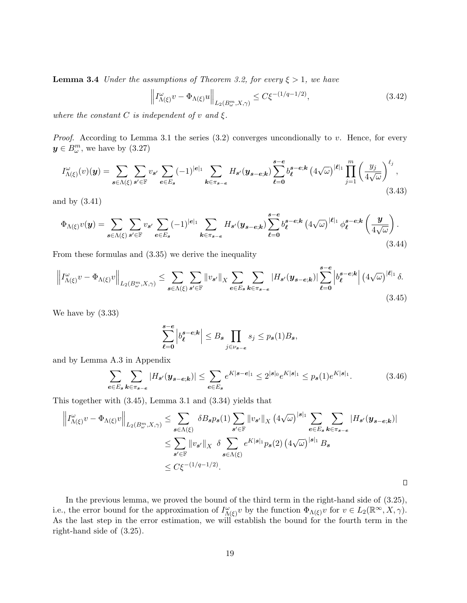**Lemma 3.4** Under the assumptions of Theorem [3.2,](#page-13-0) for every  $\xi > 1$ , we have

$$
\left\| I_{\Lambda(\xi)}^{\omega} v - \Phi_{\Lambda(\xi)} u \right\|_{L_2(B_\omega^m, X, \gamma)} \le C \xi^{-(1/q - 1/2)},\tag{3.42}
$$

where the constant C is independent of v and  $\xi$ .

*Proof.* According to Lemma [3.1](#page-8-1) the series  $(3.2)$  converges uncondionally to v. Hence, for every  $y \in B_{\omega}^m$ , we have by  $(3.27)$ 

$$
I_{\Lambda(\xi)}^{\omega}(v)(\mathbf{y}) = \sum_{\mathbf{s}\in\Lambda(\xi)}\sum_{\mathbf{s}'\in\mathbb{F}}v_{\mathbf{s}'}\sum_{\mathbf{e}\in E_{\mathbf{s}}}(-1)^{|\mathbf{e}|_{1}}\sum_{\mathbf{k}\in\pi_{\mathbf{s}-\mathbf{e}}}H_{\mathbf{s}'}(\mathbf{y}_{\mathbf{s}-\mathbf{e};\mathbf{k}})\sum_{\ell=0}^{\mathbf{s}-\mathbf{e}}b_{\ell}^{\mathbf{s}-\mathbf{e};\mathbf{k}}\left(4\sqrt{\omega}\right)^{|\ell|_{1}}\prod_{j=1}^{m}\left(\frac{y_{j}}{4\sqrt{\omega}}\right)^{\ell_{j}},\tag{3.43}
$$

and by [\(3.41\)](#page-17-3)

<span id="page-18-2"></span>
$$
\Phi_{\Lambda(\xi)}v(\mathbf{y}) = \sum_{\mathbf{s}\in\Lambda(\xi)}\sum_{\mathbf{s}'\in\mathbb{F}}v_{\mathbf{s}'}\sum_{\mathbf{e}\in E_{\mathbf{s}}}(-1)^{|\mathbf{e}|_1}\sum_{\mathbf{k}\in\pi_{\mathbf{s}-\mathbf{e}}}H_{\mathbf{s}'}(\mathbf{y}_{\mathbf{s}-\mathbf{e},\mathbf{k}})\sum_{\ell=0}^{\mathbf{s}-\mathbf{e}}b_{\ell}^{\mathbf{s}-\mathbf{e};\mathbf{k}}\left(4\sqrt{\omega}\right)^{|\ell|_1}\phi_{\ell}^{\mathbf{s}-\mathbf{e};\mathbf{k}}\left(\frac{\mathbf{y}}{4\sqrt{\omega}}\right).
$$
\n(3.44)

From these formulas and [\(3.35\)](#page-17-4) we derive the inequality

$$
\left\|I_{\Lambda(\xi)}^{\omega}v - \Phi_{\Lambda(\xi)}v\right\|_{L_2(B_{\omega}^m, X, \gamma)} \leq \sum_{s \in \Lambda(\xi)} \sum_{s' \in \mathbb{F}} \left\|v_{s'}\right\|_{X} \sum_{e \in E_s} \sum_{k \in \pi_{s-e}} \left|H_{s'}(y_{s-e;k})\right| \sum_{\ell=0}^{s-e} \left|b_{\ell}^{s-e;k}\right| \left(4\sqrt{\omega}\right)^{|\ell|_1} \delta. \tag{3.45}
$$

We have by [\(3.33\)](#page-16-2)

$$
\sum_{\ell=0}^{s-e} \left| b_{\ell}^{s-e;k} \right| \leq B_s \prod_{j \in \nu_{s-e}} s_j \leq p_s(1) B_s,
$$

and by Lemma [A.3](#page-26-1) in Appendix

$$
\sum_{e \in E_s} \sum_{k \in \pi_{s-e}} |H_{s'}(\mathbf{y}_{s-e,k})| \le \sum_{e \in E_s} e^{K|\mathbf{s}-\mathbf{e}|_1} \le 2^{|\mathbf{s}|_0} e^{K|\mathbf{s}|_1} \le p_s(1) e^{K|\mathbf{s}|_1}.
$$
 (3.46)

<span id="page-18-3"></span><span id="page-18-1"></span> $\Box$ 

This together with [\(3.45\)](#page-18-1), Lemma [3.1](#page-8-1) and [\(3.34\)](#page-17-5) yields that

$$
\left\|I_{\Lambda(\xi)}^{\omega}v - \Phi_{\Lambda(\xi)}v\right\|_{L_2(B_{\omega}^m,X,\gamma)} \leq \sum_{\mathbf{s}\in\Lambda(\xi)} \delta B_{\mathbf{s}}p_{\mathbf{s}}(1) \sum_{\mathbf{s}'\in\mathbb{F}}\|v_{\mathbf{s}'}\|_{X} \left(4\sqrt{\omega}\right)^{|\mathbf{s}|_1} \sum_{\mathbf{e}\in E_{\mathbf{s}}} \sum_{\mathbf{k}\in\pi_{\mathbf{s}-\mathbf{e}}} |H_{\mathbf{s}'}(\mathbf{y}_{\mathbf{s}-\mathbf{e};\mathbf{k}})|
$$
  

$$
\leq \sum_{\mathbf{s}'\in\mathbb{F}}\|v_{\mathbf{s}'}\|_{X} \left\|\delta\sum_{\mathbf{s}\in\Lambda(\xi)}e^{K|\mathbf{s}|_1}p_{\mathbf{s}}(2)\left(4\sqrt{\omega}\right)^{|\mathbf{s}|_1}B_{\mathbf{s}}
$$
  

$$
\leq C\xi^{-(1/q-1/2)}.
$$

<span id="page-18-0"></span>In the previous lemma, we proved the bound of the third term in the right-hand side of [\(3.25\)](#page-14-4), i.e., the error bound for the approximation of  $I_{\Lambda(\xi)}^{\omega}v$  by the function  $\Phi_{\Lambda(\xi)}v$  for  $v \in L_2(\mathbb{R}^\infty, X, \gamma)$ . As the last step in the error estimation, we will establish the bound for the fourth term in the right-hand side of [\(3.25\)](#page-14-4).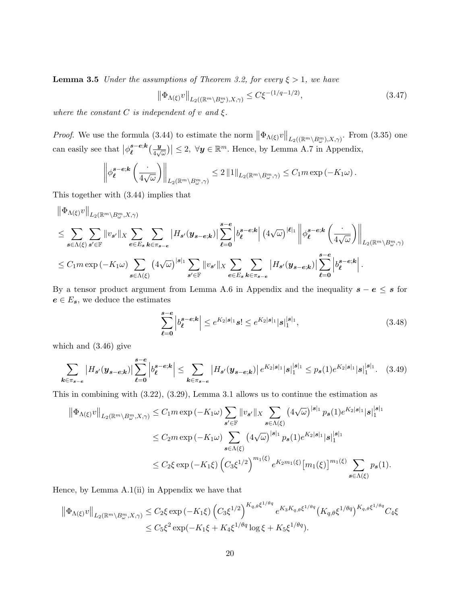**Lemma 3.5** Under the assumptions of Theorem [3.2,](#page-13-0) for every  $\xi > 1$ , we have

$$
\left\|\Phi_{\Lambda(\xi)}v\right\|_{L_2(\left(\mathbb{R}^m\setminus B^m_{\omega}\right),X,\gamma)} \le C\xi^{-(1/q-1/2)},\tag{3.47}
$$

where the constant  $C$  is independent of  $v$  and  $\xi$ .

*Proof.* We use the formula [\(3.44\)](#page-18-2) to estimate the norm  $\|\Phi_{\Lambda(\xi)}v\|_{L_2((\mathbb{R}^m\setminus B^m_\omega),X,\gamma)}$ . From [\(3.35\)](#page-17-4) one can easily see that  $\big|\phi_{\ell}^{s-e;k}$  $_{\ell}^{s-e;k}(\frac{y}{4\sqrt{y}}% )^{s-e;k}$  $\left|\frac{\boldsymbol{y}}{4\sqrt{\omega}}\right| \leq 2, \ \forall \boldsymbol{y} \in \mathbb{R}^m$ . Hence, by Lemma [A.7](#page-29-0) in Appendix,

$$
\left\|\phi_{\ell}^{s-e;k}\left(\frac{\cdot}{4\sqrt{\omega}}\right)\right\|_{L_2(\mathbb{R}^m\setminus B_{\omega}^m,\gamma)}\leq 2\left\|1\right\|_{L_2(\mathbb{R}^m\setminus B_{\omega}^m,\gamma)}\leq C_1m\exp\left(-K_1\omega\right).
$$

This together with [\(3.44\)](#page-18-2) implies that

$$
\begin{split} &\left\|\Phi_{\Lambda(\xi)}v\right\|_{L_{2}\left(\mathbb{R}^{m}\setminus B^{m}_{\omega},X,\gamma\right)}\\ &\leq \sum_{s\in\Lambda(\xi)}\sum_{s'\in\mathbb{F}}\|v_{s'}\|_{X}\sum_{e\in E_{s}}\sum_{k\in\pi_{s-e}}\left|H_{s'}(y_{s-e;k})\right|\sum_{\ell=0}^{s-e} \left|b^{s-e;k}_{\ell}\right|\left(4\sqrt{\omega}\right)^{|\ell|_{1}}\left\|\phi^s_{\ell}e^{-k}\left(\frac{\cdot}{4\sqrt{\omega}}\right)\right\|_{L_{2}\left(\mathbb{R}^{m}\setminus B^{m}_{\omega},\gamma\right)}\\ &\leq C_{1}m\exp\left(-K_{1}\omega\right)\sum_{s\in\Lambda(\xi)}\left(4\sqrt{\omega}\right)^{|s|_{1}}\sum_{s'\in\mathbb{F}}\|v_{s'}\|_{X}\sum_{e\in E_{s}}\sum_{k\in\pi_{s-e}}\left|H_{s'}(y_{s-e;k})\right|\sum_{\ell=0}^{s-e} \left|b^{s-e;k}_{\ell}\right|. \end{split}
$$

By a tensor product argument from Lemma [A.6](#page-29-1) in Appendix and the inequality  $s - e \leq s$  for  $e \in E_s$ , we deduce the estimates

<span id="page-19-0"></span>
$$
\sum_{\ell=0}^{s-e} \left| b_{\ell}^{s-e;k} \right| \le e^{K_2|s|_1} s! \le e^{K_2|s|_1} |s|_1^{|s|_1},\tag{3.48}
$$

which and [\(3.46\)](#page-18-3) give

$$
\sum_{k \in \pi_{s-e}} \left| H_{s'}(\mathbf{y}_{s-e;k}) \right| \sum_{\ell=0}^{s-e} \left| b_{\ell}^{s-e;k} \right| \leq \sum_{k \in \pi_{s-e}} \left| H_{s'}(\mathbf{y}_{s-e;k}) \right| e^{K_2|s|_1} |s|_1^{|s|_1} \leq p_s(1) e^{K_2|s|_1} |s|_1^{|s|_1}.
$$
 (3.49)

This in combining with [\(3.22\)](#page-13-2), [\(3.29\)](#page-15-0), Lemma [3.1](#page-8-1) allows us to continue the estimation as

$$
\begin{split} \left\| \Phi_{\Lambda(\xi)} v \right\|_{L_{2}(\mathbb{R}^{m} \setminus B_{\omega}^{m}, X, \gamma)} &\leq C_{1} m \exp \left( -K_{1} \omega \right) \sum_{\mathbf{s}' \in \mathbb{F}} \| v_{\mathbf{s}'} \|_{X} \sum_{\mathbf{s} \in \Lambda(\xi)} \left( 4 \sqrt{\omega} \right)^{|\mathbf{s}|_{1}} p_{\mathbf{s}}(1) e^{K_{2}|\mathbf{s}|_{1}} |\mathbf{s}|_{1}^{|\mathbf{s}|_{1}} \\ &\leq C_{2} m \exp \left( -K_{1} \omega \right) \sum_{\mathbf{s} \in \Lambda(\xi)} \left( 4 \sqrt{\omega} \right)^{|\mathbf{s}|_{1}} p_{\mathbf{s}}(1) e^{K_{2}|\mathbf{s}|_{1}} |\mathbf{s}|_{1}^{|\mathbf{s}|_{1}} \\ &\leq C_{2} \xi \exp \left( -K_{1} \xi \right) \left( C_{3} \xi^{1/2} \right)^{m_{1}(\xi)} e^{K_{2} m_{1}(\xi)} \left[ m_{1}(\xi) \right]^{m_{1}(\xi)} \sum_{\mathbf{s} \in \Lambda(\xi)} p_{\mathbf{s}}(1). \end{split}
$$

Hence, by Lemma [A.1\(](#page-25-1)ii) in Appendix we have that

$$
\|\Phi_{\Lambda(\xi)}v\|_{L_2(\mathbb{R}^m\setminus B^m_{\omega},X,\gamma)} \leq C_2\xi \exp(-K_1\xi) \left(C_3\xi^{1/2}\right)^{K_{q,\theta}\xi^{1/\theta q}} e^{K_3K_{q,\theta}\xi^{1/\theta q}} \left(K_{q,\theta}\xi^{1/\theta q}\right)^{K_{q,\theta}\xi^{1/\theta q}} C_4\xi
$$
  

$$
\leq C_5\xi^2 \exp(-K_1\xi + K_4\xi^{1/\theta q} \log \xi + K_5\xi^{1/\theta q}).
$$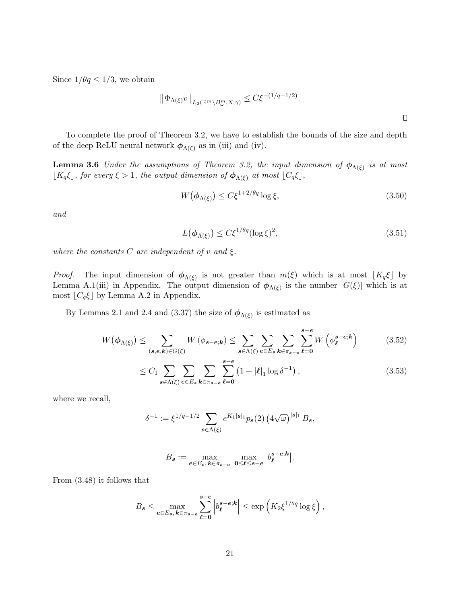Since  $1/\theta q \le 1/3$ , we obtain

$$
\left\|\Phi_{\Lambda(\xi)}v\right\|_{L_2(\mathbb{R}^m\setminus B^m_\omega,X,\gamma)}\leq C\xi^{-(1/q-1/2)}.
$$

To complete the proof of Theorem [3.2,](#page-13-0) we have to establish the bounds of the size and depth of the deep ReLU neural network  $\phi_{\Lambda(\xi)}$  as in (iii) and (iv).

<span id="page-20-0"></span>**Lemma 3.6** Under the assumptions of Theorem [3.2,](#page-13-0) the input dimension of  $\phi_{\Lambda(\xi)}$  is at most  $[K_q\xi]$ , for every  $\xi > 1$ , the output dimension of  $\phi_{\Lambda(\xi)}$  at most  $[C_q\xi]$ ,

$$
W(\phi_{\Lambda(\xi)}) \le C\xi^{1+2/\theta q} \log \xi,\tag{3.50}
$$

and

<span id="page-20-3"></span><span id="page-20-1"></span>
$$
L(\phi_{\Lambda(\xi)}) \le C\xi^{1/\theta q} (\log \xi)^2,\tag{3.51}
$$

where the constants  $C$  are independent of  $v$  and  $\xi$ .

*Proof.* The input dimension of  $\phi_{\Lambda(\xi)}$  is not greater than  $m(\xi)$  which is at most  $\lfloor K_q \xi \rfloor$  by Lemma [A.1\(](#page-25-1)iii) in Appendix. The output dimension of  $\phi_{\Lambda(\xi)}$  is the number  $|G(\xi)|$  which is at most  $\lfloor C_q \xi \rfloor$  by Lemma [A.2](#page-25-0) in Appendix.

By Lemmas [2.1](#page-5-1) and [2.4](#page-6-1) and [\(3.37\)](#page-17-0) the size of  $\phi_{\Lambda(\xi)}$  is estimated as

$$
W(\phi_{\Lambda(\xi)}) \leq \sum_{(\mathbf{s},\mathbf{e},\mathbf{k}) \in G(\xi)} W(\phi_{\mathbf{s}-\mathbf{e};\mathbf{k}}) \leq \sum_{\mathbf{s}\in\Lambda(\xi)} \sum_{\mathbf{e}\in E_{\mathbf{s}}} \sum_{\mathbf{k}\in\pi_{\mathbf{s}-\mathbf{e}}} \sum_{\ell=0}^{\mathbf{s}-\mathbf{e}} W\left(\phi_{\ell}^{\mathbf{s}-\mathbf{e};\mathbf{k}}\right)
$$
(3.52)

$$
\leq C_1 \sum_{\boldsymbol{s}\in\Lambda(\xi)} \sum_{\boldsymbol{e}\in E_{\boldsymbol{s}}} \sum_{\boldsymbol{k}\in\pi_{\boldsymbol{s}-\boldsymbol{e}}} \sum_{\ell=0}^{\boldsymbol{s}-\boldsymbol{e}} \left(1+|\ell|_1 \log \delta^{-1}\right),\tag{3.53}
$$

where we recall,

$$
\delta^{-1} := \xi^{1/q-1/2} \sum_{s \in \Lambda(\xi)} e^{K_1|s|_1} p_s(2) \left(4\sqrt{\omega}\right)^{|s|_1} B_s,
$$

<span id="page-20-2"></span>
$$
B_s := \max_{e \in E_s, \, k \in \pi_{s-e}} \max_{0 \leq \ell \leq s-e} |b_{\ell}^{s-e;k}|.
$$

From [\(3.48\)](#page-19-0) it follows that

$$
B_{\boldsymbol{s}} \leq \max_{\boldsymbol{e} \in E_{\boldsymbol{s}}, \, \boldsymbol{k} \in \pi_{\boldsymbol{s}-\boldsymbol{e}}} \sum_{\ell=0}^{\boldsymbol{s}-\boldsymbol{e}} \left| b_{\ell}^{\boldsymbol{s}-\boldsymbol{e};\boldsymbol{k}} \right| \leq \exp \left( K_2 \xi^{1/\theta q} \log \xi \right),
$$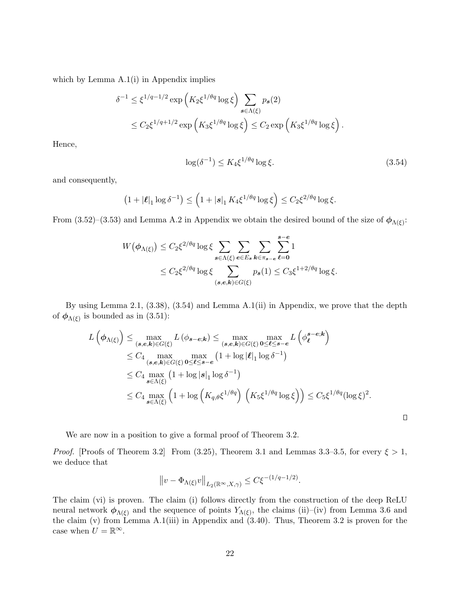which by Lemma [A.1\(](#page-25-1)i) in Appendix implies

$$
\delta^{-1} \leq \xi^{1/q - 1/2} \exp\left(K_2 \xi^{1/\theta q} \log \xi\right) \sum_{\mathbf{s} \in \Lambda(\xi)} p_{\mathbf{s}}(2)
$$
  

$$
\leq C_2 \xi^{1/q + 1/2} \exp\left(K_3 \xi^{1/\theta q} \log \xi\right) \leq C_2 \exp\left(K_3 \xi^{1/\theta q} \log \xi\right).
$$

Hence,

<span id="page-21-0"></span>
$$
\log(\delta^{-1}) \le K_4 \xi^{1/\theta q} \log \xi. \tag{3.54}
$$

 $\Box$ 

and consequently,

$$
\left(1+|\boldsymbol{\ell}|_1\log\delta^{-1}\right)\leq \left(1+|\boldsymbol{s}|_1\,K_4\xi^{1/\theta q}\log\xi\right)\leq C_2\xi^{2/\theta q}\log\xi.
$$

From [\(3.52\)](#page-20-1)–[\(3.53\)](#page-20-2) and Lemma [A.2](#page-25-0) in Appendix we obtain the desired bound of the size of  $\phi_{\Lambda(\xi)}$ :

$$
W(\boldsymbol{\phi}_{\Lambda(\xi)}) \leq C_2 \xi^{2/\theta q} \log \xi \sum_{\boldsymbol{s} \in \Lambda(\xi)} \sum_{\boldsymbol{e} \in E_{\boldsymbol{s}}} \sum_{\boldsymbol{k} \in \pi_{\boldsymbol{s}-\boldsymbol{e}}} \sum_{\boldsymbol{\ell}=0}^{\boldsymbol{s}-\boldsymbol{e}} 1
$$
  
 
$$
\leq C_2 \xi^{2/\theta q} \log \xi \sum_{(\boldsymbol{s},\boldsymbol{e},\boldsymbol{k}) \in G(\xi)} p_{\boldsymbol{s}}(1) \leq C_3 \xi^{1+2/\theta q} \log \xi.
$$

By using Lemma [2.1,](#page-5-1) [\(3.38\)](#page-17-1), [\(3.54\)](#page-21-0) and Lemma [A.1\(](#page-25-1)ii) in Appendix, we prove that the depth of  $\phi_{\Lambda(\xi)}$  is bounded as in [\(3.51\)](#page-20-3):

$$
L(\phi_{\Lambda(\xi)}) \leq \max_{(s,e,k)\in G(\xi)} L(\phi_{s-e;k}) \leq \max_{(s,e,k)\in G(\xi)} \max_{0\leq \ell \leq s-e} L(\phi_{\ell}^{s-e;k})
$$
  
\n
$$
\leq C_4 \max_{(s,e,k)\in G(\xi)} \max_{0\leq \ell \leq s-e} (1 + \log |\ell|_1 \log \delta^{-1})
$$
  
\n
$$
\leq C_4 \max_{s\in \Lambda(\xi)} (1 + \log |s|_1 \log \delta^{-1})
$$
  
\n
$$
\leq C_4 \max_{s\in \Lambda(\xi)} (1 + \log (K_{q,\theta}\xi^{1/\theta q}) (K_5\xi^{1/\theta q} \log \xi)) \leq C_5\xi^{1/\theta q} (\log \xi)^2.
$$

We are now in a position to give a formal proof of Theorem [3.2.](#page-13-0)

*Proof.* [Proofs of Theorem [3.2\]](#page-13-0) From [\(3.25\)](#page-14-4), Theorem [3.1](#page-11-2) and Lemmas [3.3–](#page-14-0)[3.5,](#page-18-0) for every  $\xi > 1$ , we deduce that

$$
||v - \Phi_{\Lambda(\xi)}v||_{L_2(\mathbb{R}^\infty, X, \gamma)} \leq C\xi^{-(1/q - 1/2)}.
$$

The claim (vi) is proven. The claim (i) follows directly from the construction of the deep ReLU neural network  $\phi_{\Lambda(\xi)}$  and the sequence of points  $Y_{\Lambda(\xi)}$ , the claims (ii)–(iv) from Lemma [3.6](#page-20-0) and the claim (v) from Lemma [A.1\(](#page-25-1)iii) in Appendix and  $(3.40)$ . Thus, Theorem [3.2](#page-13-0) is proven for the case when  $U = \mathbb{R}^{\infty}$ .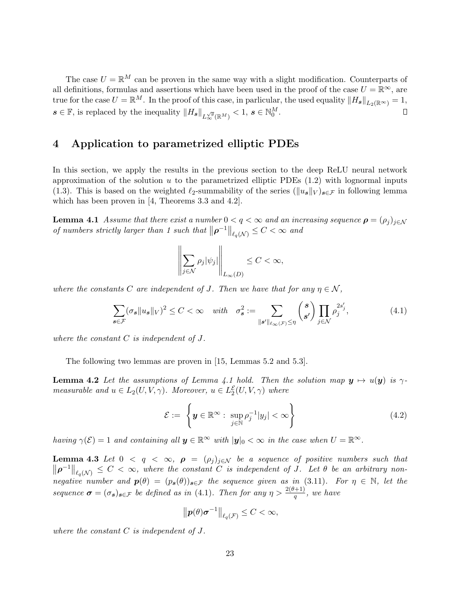The case  $U = \mathbb{R}^M$  can be proven in the same way with a slight modification. Counterparts of all definitions, formulas and assertions which have been used in the proof of the case  $U = \mathbb{R}^{\infty}$ , are true for the case  $U = \mathbb{R}^M$ . In the proof of this case, in parlicular, the used equality  $||H_s||_{L_2(\mathbb{R}^\infty)} = 1$ ,  $s \in \mathbb{F}$ , is replaced by the inequality  $||H_s||_{L^{\sqrt{g}}_{\infty}(\mathbb{R}^M)} < 1, s \in \mathbb{N}_0^M$ .  $\Box$ 

### <span id="page-22-0"></span>4 Application to parametrized elliptic PDEs

In this section, we apply the results in the previous section to the deep ReLU neural network approximation of the solution u to the parametrized elliptic PDEs  $(1.2)$  with lognormal inputs [\(1.3\)](#page-2-2). This is based on the weighted  $\ell_2$ -summability of the series ( $\|u_s\|_V$ ) $s \in \mathcal{F}$  in following lemma which has been proven in [\[4,](#page-32-1) Theorems 3.3 and 4.2].

<span id="page-22-1"></span>**Lemma 4.1** Assume that there exist a number  $0 < q < \infty$  and an increasing sequence  $\rho = (\rho_i)_{i \in \mathcal{N}}$ of numbers strictly larger than 1 such that  $||\boldsymbol{\rho}^{-1}||_{\ell_q(\mathcal{N})} \leq C < \infty$  and

<span id="page-22-2"></span>
$$
\left\| \sum_{j \in \mathcal{N}} \rho_j |\psi_j| \right\|_{L_{\infty}(D)} \leq C < \infty,
$$

where the constants C are independent of J. Then we have that for any  $\eta \in \mathcal{N}$ ,

$$
\sum_{s \in \mathcal{F}} (\sigma_s \|u_s\|_V)^2 \le C < \infty \quad \text{with} \quad \sigma_s^2 := \sum_{\|s'\|_{\ell_\infty(\mathcal{F})} \le \eta} \binom{s}{s'} \prod_{j \in \mathcal{N}} \rho_j^{2s'_j},\tag{4.1}
$$

where the constant  $C$  is independent of  $J$ .

The following two lemmas are proven in [\[15,](#page-32-10) Lemmas 5.2 and 5.3].

**Lemma 4.2** Let the assumptions of Lemma [4.1](#page-22-1) hold. Then the solution map  $y \mapsto u(y)$  is  $\gamma$ measurable and  $u \in L_2(U, V, \gamma)$ . Moreover,  $u \in L_2^{\mathcal{E}}(U, V, \gamma)$  where

<span id="page-22-4"></span>
$$
\mathcal{E} := \left\{ \boldsymbol{y} \in \mathbb{R}^{\infty} : \ \sup_{j \in \mathbb{N}} \rho_j^{-1} |y_j| < \infty \right\} \tag{4.2}
$$

having  $\gamma(\mathcal{E}) = 1$  and containing all  $y \in \mathbb{R}^{\infty}$  with  $|y|_0 < \infty$  in the case when  $U = \mathbb{R}^{\infty}$ .

<span id="page-22-3"></span>**Lemma 4.3** Let  $0 < q < \infty$ ,  $\rho = (\rho_j)_{j \in \mathcal{N}}$  be a sequence of positive numbers such that  $\|\boldsymbol{\rho}^{-1}\|_{\ell_q(\mathcal{N})} \leq C < \infty$ , where the constant C is independent of J. Let  $\theta$  be an arbitrary nonnegative number and  $p(\theta) = (p_s(\theta))_{s \in \mathcal{F}}$  the sequence given as in [\(3.11\)](#page-11-3). For  $\eta \in \mathbb{N}$ , let the sequence  $\sigma = (\sigma_s)_{s \in \mathcal{F}}$  be defined as in [\(4.1\)](#page-22-2). Then for any  $\eta > \frac{2(\theta+1)}{q}$ , we have

<span id="page-22-5"></span>
$$
\left\| \boldsymbol{p}(\theta) \boldsymbol{\sigma}^{-1} \right\|_{\ell_q(\mathcal{F})} \leq C < \infty,
$$

where the constant  $C$  is independent of  $J$ .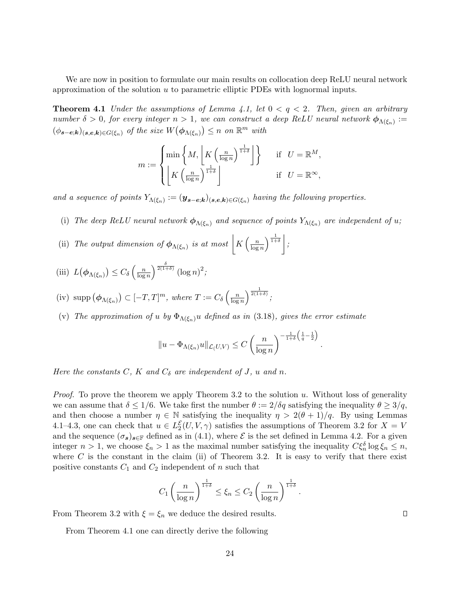We are now in position to formulate our main results on collocation deep ReLU neural network approximation of the solution  $u$  to parametric elliptic PDEs with lognormal inputs.

<span id="page-23-0"></span>**Theorem 4.1** Under the assumptions of Lemma [4.1,](#page-22-1) let  $0 < q < 2$ . Then, given an arbitrary number  $\delta > 0$ , for every integer  $n > 1$ , we can construct a deep ReLU neural network  $\phi_{\Lambda(\xi_n)} :=$  $(\phi_{\mathbf{s}-\mathbf{e};\mathbf{k}})_{(\mathbf{s},\mathbf{e},\mathbf{k})\in G(\xi_n)}$  of the size  $W(\phi_{\Lambda(\xi_n)}) \leq n$  on  $\mathbb{R}^m$  with

$$
m := \begin{cases} \min \left\{ M, \left\lfloor K \left( \frac{n}{\log n} \right)^{\frac{1}{1+\delta}} \right\rfloor \right\} & \text{if} \quad U = \mathbb{R}^M, \\ \left\lfloor K \left( \frac{n}{\log n} \right)^{\frac{1}{1+\delta}} \right\rfloor & \text{if} \quad U = \mathbb{R}^\infty, \end{cases}
$$

and a sequence of points  $Y_{\Lambda(\xi_n)} := (\mathbf{y}_{\mathbf{s}-\mathbf{e};\mathbf{k}})_{(\mathbf{s},\mathbf{e},\mathbf{k})\in G(\xi_n)}$  having the following properties.

- (i) The deep ReLU neural network  $\phi_{\Lambda(\xi_n)}$  and sequence of points  $Y_{\Lambda(\xi_n)}$  are independent of u;
- (ii) The output dimension of  $\phi_{\Lambda(\xi_n)}$  is at most  $\Big| K\Big(\frac{n}{\log n}\Big)$  $\frac{n}{\log n}\Big)^{\frac{1}{1+\delta}}\,\bigg|\,;$

(iii) 
$$
L(\phi_{\Lambda(\xi_n)}) \leq C_{\delta}\left(\frac{n}{\log n}\right)^{\frac{\delta}{2(1+\delta)}} (\log n)^2;
$$

- (iv) supp  $(\phi_{\Lambda(\xi_n)}) \subset [-T,T]^m$ , where  $T := C_\delta \left( \frac{n}{\log n} \right)$  $\frac{n}{\log n}\bigg)^{\frac{1}{2(1+\delta)}};$
- (v) The approximation of u by  $\Phi_{\Lambda(\xi_n)}u$  defined as in [\(3.18\)](#page-12-1), gives the error estimate

$$
||u - \Phi_{\Lambda(\xi_n)}u||_{\mathcal{L}(U,V)} \leq C\left(\frac{n}{\log n}\right)^{-\frac{1}{1+\delta}\left(\frac{1}{q}-\frac{1}{2}\right)}
$$

.

Here the constants C, K and  $C_{\delta}$  are independent of J, u and n.

*Proof.* To prove the theorem we apply Theorem [3.2](#page-13-0) to the solution u. Without loss of generality we can assume that  $\delta \leq 1/6$ . We take first the number  $\theta := 2/\delta q$  satisfying the inequality  $\theta \geq 3/q$ , and then choose a number  $\eta \in \mathbb{N}$  satisfying the inequality  $\eta > 2(\theta + 1)/q$ . By using Lemmas [4.1–](#page-22-1)[4.3,](#page-22-3) one can check that  $u \in L_2^{\mathcal{E}}(U, V, \gamma)$  satisfies the assumptions of Theorem [3.2](#page-13-0) for  $X = V$ and the sequence  $(\sigma_s)_{s\in\mathbb{F}}$  defined as in [\(4.1\)](#page-22-2), where  $\mathcal E$  is the set defined in Lemma [4.2.](#page-22-4) For a given integer  $n > 1$ , we choose  $\xi_n > 1$  as the maximal number satisfying the inequality  $C\xi_n^{\delta} \log \xi_n \leq n$ , where  $C$  is the constant in the claim (ii) of Theorem [3.2.](#page-13-0) It is easy to verify that there exist positive constants  $C_1$  and  $C_2$  independent of n such that

$$
C_1\left(\frac{n}{\log n}\right)^{\frac{1}{1+\delta}} \leq \xi_n \leq C_2\left(\frac{n}{\log n}\right)^{\frac{1}{1+\delta}}.
$$

From Theorem [3.2](#page-13-0) with  $\xi = \xi_n$  we deduce the desired results.

<span id="page-23-1"></span>From Theorem [4.1](#page-23-0) one can directly derive the following

 $\Box$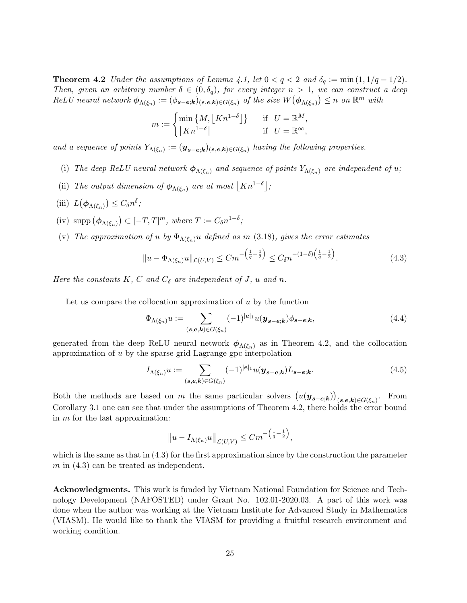**Theorem 4.2** Under the assumptions of Lemma [4.1,](#page-22-1) let  $0 < q < 2$  and  $\delta_q := \min(1, 1/q - 1/2)$ . Then, given an arbitrary number  $\delta \in (0, \delta_q)$ , for every integer  $n > 1$ , we can construct a deep  $ReLU$  neural network  $\phi_{\Lambda(\xi_n)} := (\phi_{\mathbf{s}-\mathbf{e};\mathbf{k}})_{(\mathbf{s},\mathbf{e},\mathbf{k}) \in G(\xi_n)}$  of the size  $W(\phi_{\Lambda(\xi_n)}) \leq n$  on  $\mathbb{R}^m$  with

$$
m := \begin{cases} \min\left\{M, \left\lfloor Kn^{1-\delta} \right\rfloor \right\} & \text{if} \quad U = \mathbb{R}^M, \\ \left\lfloor Kn^{1-\delta} \right\rfloor & \text{if} \quad U = \mathbb{R}^\infty, \end{cases}
$$

and a sequence of points  $Y_{\Lambda(\xi_n)} := (\mathbf{y}_{\mathbf{s}-\mathbf{e};\mathbf{k}})_{(\mathbf{s},\mathbf{e},\mathbf{k})\in G(\xi_n)}$  having the following properties.

- (i) The deep ReLU neural network  $\phi_{\Lambda(\xi_n)}$  and sequence of points  $Y_{\Lambda(\xi_n)}$  are independent of u;
- (ii) The output dimension of  $\phi_{\Lambda(\xi_n)}$  are at most  $\lfloor Kn^{1-\delta} \rfloor$ ;
- (iii)  $L(\phi_{\Lambda(\xi_n)}) \leq C_\delta n^\delta;$
- (iv)  $\text{supp}(\phi_{\Lambda(\xi_n)}) \subset [-T,T]^m$ , where  $T := C_\delta n^{1-\delta}$ ;
- (v) The approximation of u by  $\Phi_{\Lambda(\xi_n)}u$  defined as in [\(3.18\)](#page-12-1), gives the error estimates

$$
||u - \Phi_{\Lambda(\xi_n)} u||_{\mathcal{L}(U,V)} \leq Cm^{-\left(\frac{1}{q} - \frac{1}{2}\right)} \leq C_{\delta} n^{-\left(1 - \delta\right)\left(\frac{1}{q} - \frac{1}{2}\right)}.
$$
\n(4.3)

Here the constants K, C and  $C_{\delta}$  are independent of J, u and n.

Let us compare the collocation approximation of  $u$  by the function

$$
\Phi_{\Lambda(\xi_n)} u := \sum_{(\mathbf{s},\mathbf{e},\mathbf{k}) \in G(\xi_n)} (-1)^{|\mathbf{e}|_1} u(\mathbf{y}_{\mathbf{s}-\mathbf{e};\mathbf{k}}) \phi_{\mathbf{s}-\mathbf{e};\mathbf{k}},\tag{4.4}
$$

generated from the deep ReLU neural network  $\phi_{\Lambda(\xi_n)}$  as in Theorem [4.2,](#page-23-1) and the collocation approximation of u by the sparse-grid Lagrange gpc interpolation

$$
I_{\Lambda(\xi_n)}u := \sum_{(\mathbf{s},\mathbf{e},\mathbf{k}) \in G(\xi_n)} (-1)^{|\mathbf{e}|_1} u(\mathbf{y}_{\mathbf{s}-\mathbf{e};\mathbf{k}}) L_{\mathbf{s}-\mathbf{e};\mathbf{k}}.
$$
 (4.5)

Both the methods are based on m the same particular solvers  $(u(y_{s-e,k}))_{(s,e,k)\in G(\xi_n)}$ . From Corollary [3.1](#page-11-4) one can see that under the assumptions of Theorem [4.2,](#page-23-1) there holds the error bound in m for the last approximation:

$$
||u - I_{\Lambda(\xi_n)}u||_{\mathcal{L}(U,V)} \leq Cm^{-\left(\frac{1}{q}-\frac{1}{2}\right)},
$$

which is the same as that in  $(4.3)$  for the first approximation since by the construction the parameter  $m$  in  $(4.3)$  can be treated as independent.

Acknowledgments. This work is funded by Vietnam National Foundation for Science and Technology Development (NAFOSTED) under Grant No. 102.01-2020.03. A part of this work was done when the author was working at the Vietnam Institute for Advanced Study in Mathematics (VIASM). He would like to thank the VIASM for providing a fruitful research environment and working condition.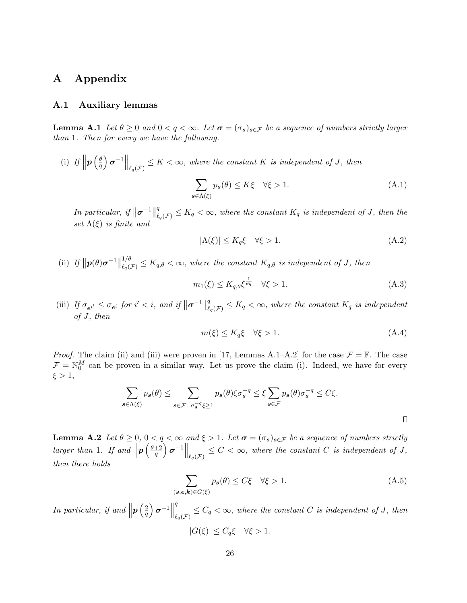### A Appendix

#### A.1 Auxiliary lemmas

<span id="page-25-1"></span>**Lemma A.1** Let  $\theta \geq 0$  and  $0 < q < \infty$ . Let  $\sigma = (\sigma_s)_{s \in \mathcal{F}}$  be a sequence of numbers strictly larger than 1. Then for every we have the following.

(i) If  $\left\| \boldsymbol{p} \left( \frac{\theta}{q} \right) \right\|$  $\left\{ \frac{\theta}{q} \right\} \sigma^{-1} \Big\|_{\ell_q(\mathcal{F})} \leq K < \infty$ , where the constant K is independent of J, then  $\sum$  $s \in \Lambda(\xi)$  $p_s(\theta) \le K\xi \quad \forall \xi > 1.$  (A.1)

In particular, if  $\|\boldsymbol{\sigma}^{-1}\|$ q  $\mathcal{L}^q_{\ell_q(\mathcal{F})} \leq K_q < \infty$ , where the constant  $K_q$  is independent of J, then the set  $\Lambda(\xi)$  is finite and

$$
|\Lambda(\xi)| \le K_q \xi \quad \forall \xi > 1. \tag{A.2}
$$

(ii) If  $\|\mathbf{p}(\theta)\boldsymbol{\sigma}^{-1}\|$  $1/\theta$  $\frac{f_1}{f_2(f_2)} \leq K_{q,\theta} < \infty$ , where the constant  $K_{q,\theta}$  is independent of J, then

$$
m_1(\xi) \le K_{q,\theta} \xi^{\frac{1}{\theta q}} \quad \forall \xi > 1. \tag{A.3}
$$

(iii) If  $\sigma_{e^{i'}} \leq \sigma_{e^i}$  for  $i' < i$ , and if  $\|\boldsymbol{\sigma}^{-1}\|$ q  $\mathcal{L}^q_{\ell_q(\mathcal{F})} \leq K_q < \infty$ , where the constant  $K_q$  is independent of J, then

$$
m(\xi) \le K_q \xi \quad \forall \xi > 1. \tag{A.4}
$$

*Proof.* The claim (ii) and (iii) were proven in [\[17,](#page-33-13) Lemmas A.1–A.2] for the case  $\mathcal{F} = \mathbb{F}$ . The case  $\mathcal{F} = \mathbb{N}_0^M$  can be proven in a similar way. Let us prove the claim (i). Indeed, we have for every  $\xi > 1$ ,

$$
\sum_{s \in \Lambda(\xi)} p_s(\theta) \le \sum_{s \in \mathcal{F}: \ \sigma_s^{-q} \xi \ge 1} p_s(\theta) \xi \sigma_s^{-q} \le \xi \sum_{s \in \mathcal{F}} p_s(\theta) \sigma_s^{-q} \le C \xi.
$$

<span id="page-25-0"></span>**Lemma A.2** Let  $\theta \geq 0$ ,  $0 < q < \infty$  and  $\xi > 1$ . Let  $\sigma = (\sigma_s)_{s \in \mathcal{F}}$  be a sequence of numbers strictly larger than 1. If and  $\left\| \boldsymbol{p} \left( \frac{\theta+2}{q} \right) \right\|$  $\left\Vert \frac{+2}{\ell_q(\mathcal{F})}\right\Vert_{\ell_q(\mathcal{F})}\leq C<\infty,$  where the constant C is independent of J, then there holds

$$
\sum_{(\mathbf{s},\mathbf{e},\mathbf{k}) \in G(\xi)} p_{\mathbf{s}}(\theta) \le C\xi \quad \forall \xi > 1.
$$
\n(A.5)

In particular, if and  $\left\| \boldsymbol{p} \left(\frac{2}{q}\right)\right\|$  $\left\lVert \frac{2}{q}\right\rangle \boldsymbol{\sigma}^{-1}\right\lVert$ q  $\sum_{\ell_q(\mathcal{F})}^{\infty} \leq C_q < \infty$ , where the constant C is independent of J, then  $|G(\xi)| \leq C_{q}\xi \quad \forall \xi > 1.$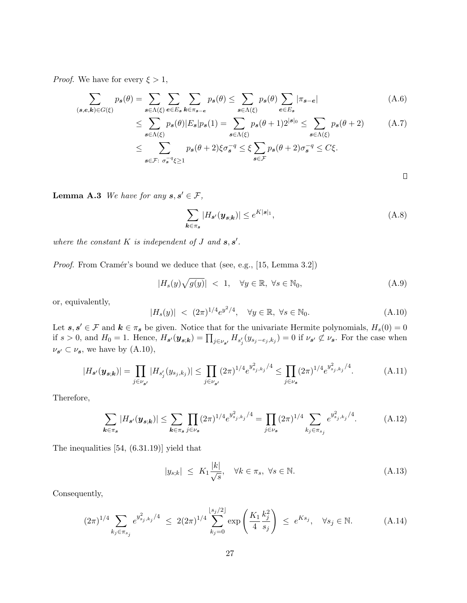*Proof.* We have for every  $\xi > 1$ ,

$$
\sum_{(\mathbf{s},\mathbf{e},\mathbf{k})\in G(\xi)} p_{\mathbf{s}}(\theta) = \sum_{\mathbf{s}\in\Lambda(\xi)} \sum_{\mathbf{e}\in E_{\mathbf{s}}} \sum_{\mathbf{k}\in\pi_{\mathbf{s}-\mathbf{e}}} p_{\mathbf{s}}(\theta) \le \sum_{\mathbf{s}\in\Lambda(\xi)} p_{\mathbf{s}}(\theta) \sum_{\mathbf{e}\in E_{\mathbf{s}}} |\pi_{\mathbf{s}-\mathbf{e}}| \tag{A.6}
$$

$$
\leq \sum_{s \in \Lambda(\xi)} p_s(\theta) |E_s| p_s(1) = \sum_{s \in \Lambda(\xi)} p_s(\theta + 1) 2^{|s|_0} \leq \sum_{s \in \Lambda(\xi)} p_s(\theta + 2) \tag{A.7}
$$

$$
\leq \sum_{\mathbf{s}\in\mathcal{F}:\ \sigma_{\mathbf{s}}^{-q}\xi\geq 1}p_{\mathbf{s}}(\theta+2)\xi\sigma_{\mathbf{s}}^{-q}\leq \xi\sum_{\mathbf{s}\in\mathcal{F}}p_{\mathbf{s}}(\theta+2)\sigma_{\mathbf{s}}^{-q}\leq C\xi.
$$

 $\Box$ 

<span id="page-26-1"></span>**Lemma A.3** We have for any  $s, s' \in \mathcal{F}$ ,

$$
\sum_{\mathbf{k}\in\pi_{\mathbf{s}}} |H_{\mathbf{s}'}(\mathbf{y}_{\mathbf{s};\mathbf{k}})| \leq e^{K|\mathbf{s}|_1},\tag{A.8}
$$

where the constant  $K$  is independent of  $J$  and  $s, s'$ .

*Proof.* From Cramér's bound we deduce that (see, e.g.,  $[15, \text{Lemma } 3.2]$  $[15, \text{Lemma } 3.2]$ )

<span id="page-26-0"></span>
$$
|H_s(y)\sqrt{g(y)}| < 1, \quad \forall y \in \mathbb{R}, \ \forall s \in \mathbb{N}_0,\tag{A.9}
$$

or, equivalently,

<span id="page-26-2"></span>
$$
|H_s(y)| \, < \, (2\pi)^{1/4} e^{y^2/4}, \quad \forall y \in \mathbb{R}, \, \forall s \in \mathbb{N}_0. \tag{A.10}
$$

Let  $s, s' \in \mathcal{F}$  and  $k \in \pi_s$  be given. Notice that for the univariate Hermite polynomials,  $H_s(0) = 0$ if  $s > 0$ , and  $H_0 = 1$ . Hence,  $H_{s'}(\mathbf{y}_{s,k}) = \prod_{j \in \nu_{s'}} H_{s'_j}(y_{s_j - e_j, k_j}) = 0$  if  $\nu_{s'} \not\subset \nu_s$ . For the case when  $\nu_{s'} \subset \nu_s$ , we have by  $(A.10)$ ,

$$
|H_{s'}(\mathbf{y}_{s,k})| = \prod_{j \in \nu_{s'}} |H_{s'_j}(y_{s_j,k_j})| \le \prod_{j \in \nu_{s'}} (2\pi)^{1/4} e^{y_{s_j,k_j}^2/4} \le \prod_{j \in \nu_s} (2\pi)^{1/4} e^{y_{s_j,k_j}^2/4}.
$$
 (A.11)

Therefore,

$$
\sum_{k \in \pi_s} |H_{s'}(\mathbf{y}_{s,k})| \le \sum_{k \in \pi_s} \prod_{j \in \nu_s} (2\pi)^{1/4} e^{y_{s_j,k_j}^2/4} = \prod_{j \in \nu_s} (2\pi)^{1/4} \sum_{k_j \in \pi_{s_j}} e^{y_{s_j,k_j}^2/4}.
$$
 (A.12)

The inequalities [\[54,](#page-35-13) (6.31.19)] yield that

$$
|y_{s;k}| \leq K_1 \frac{|k|}{\sqrt{s}}, \quad \forall k \in \pi_s, \ \forall s \in \mathbb{N}.
$$
 (A.13)

Consequently,

$$
(2\pi)^{1/4} \sum_{k_j \in \pi_{s_j}} e^{y_{s_j,k_j}^2/4} \le 2(2\pi)^{1/4} \sum_{k_j=0}^{\lfloor s_j/2 \rfloor} \exp\left(\frac{K_1}{4} \frac{k_j^2}{s_j}\right) \le e^{Ks_j}, \quad \forall s_j \in \mathbb{N}.
$$
 (A.14)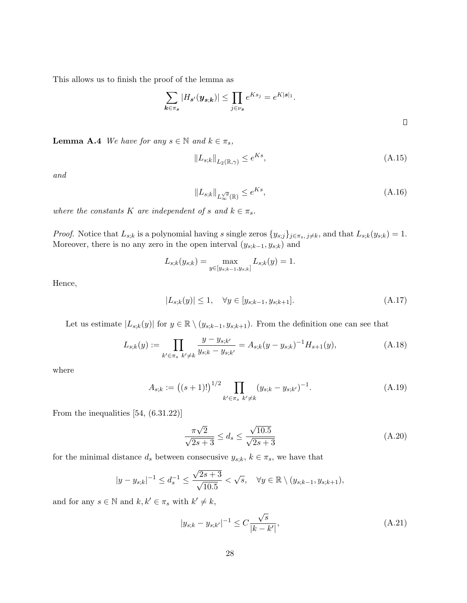This allows us to finish the proof of the lemma as

$$
\sum_{k \in \pi_s} |H_{s'}(\mathbf{y}_{s,k})| \le \prod_{j \in \nu_s} e^{Ks_j} = e^{K|\mathbf{s}|_1}.
$$

<span id="page-27-0"></span>**Lemma A.4** We have for any  $s \in \mathbb{N}$  and  $k \in \pi_s$ ,

<span id="page-27-2"></span>
$$
||L_{s,k}||_{L_2(\mathbb{R},\gamma)} \le e^{Ks},\tag{A.15}
$$

and

<span id="page-27-3"></span><span id="page-27-1"></span>
$$
||L_{s;k}||_{L_{\infty}^{\sqrt{g}}(\mathbb{R})} \le e^{Ks},\tag{A.16}
$$

where the constants K are independent of s and  $k \in \pi_s$ .

*Proof.* Notice that  $L_{s;k}$  is a polynomial having s single zeros  $\{y_{s;j}\}_{j\in\pi_s, j\neq k}$ , and that  $L_{s;k}(y_{s;k}) = 1$ . Moreover, there is no any zero in the open interval  $(y_{s;k-1}, y_{s;k})$  and

$$
L_{s;k}(y_{s;k}) = \max_{y \in [y_{s;k-1},y_{s;k}]} L_{s;k}(y) = 1.
$$

Hence,

$$
|L_{s,k}(y)| \le 1, \quad \forall y \in [y_{s,k-1}, y_{s,k+1}]. \tag{A.17}
$$

Let us estimate  $|L_{s,k}(y)|$  for  $y \in \mathbb{R} \setminus (y_{s;k-1}, y_{s;k+1})$ . From the definition one can see that

$$
L_{s;k}(y) := \prod_{k' \in \pi_s} \frac{y - y_{s;k'}}{y_{s;k} - y_{s;k'}} = A_{s;k}(y - y_{s;k})^{-1} H_{s+1}(y),
$$
\n(A.18)

where

$$
A_{s;k} := ((s+1)!)^{1/2} \prod_{k' \in \pi_s} (y_{s;k} - y_{s;k'})^{-1}.
$$
 (A.19)

From the inequalities [\[54,](#page-35-13) (6.31.22)]

<span id="page-27-5"></span><span id="page-27-4"></span>
$$
\frac{\pi\sqrt{2}}{\sqrt{2s+3}} \le d_s \le \frac{\sqrt{10.5}}{\sqrt{2s+3}}
$$
\n(A.20)

for the minimal distance  $d_s$  between consecusive  $y_{s;k}$ ,  $k \in \pi_s$ , we have that

$$
|y - y_{s;k}|^{-1} \le d_s^{-1} \le \frac{\sqrt{2s+3}}{\sqrt{10.5}} < \sqrt{s}, \quad \forall y \in \mathbb{R} \setminus (y_{s;k-1}, y_{s;k+1}),
$$

and for any  $s \in \mathbb{N}$  and  $k, k' \in \pi_s$  with  $k' \neq k$ ,

$$
|y_{s;k} - y_{s;k'}|^{-1} \le C \frac{\sqrt{s}}{|k - k'|},\tag{A.21}
$$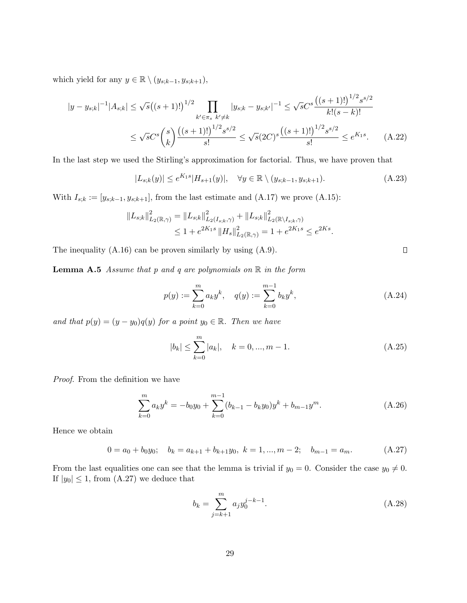which yield for any  $y \in \mathbb{R} \setminus (y_{s;k-1}, y_{s;k+1}),$ 

$$
|y - y_{s,k}|^{-1}|A_{s,k}| \leq \sqrt{s}((s+1)!)^{1/2} \prod_{k' \in \pi_s} |y_{s,k} - y_{s,k'}|^{-1} \leq \sqrt{s}C^s \frac{((s+1)!)^{1/2} s^{s/2}}{k!(s-k)!}
$$
  

$$
\leq \sqrt{s}C^s {s \choose k} \frac{((s+1)!)^{1/2} s^{s/2}}{s!} \leq \sqrt{s} (2C)^s \frac{((s+1)!)^{1/2} s^{s/2}}{s!} \leq e^{K_1 s}. \tag{A.22}
$$

In the last step we used the Stirling's approximation for factorial. Thus, we have proven that

$$
|L_{s;k}(y)| \le e^{K_1 s} |H_{s+1}(y)|, \quad \forall y \in \mathbb{R} \setminus (y_{s;k-1}, y_{s;k+1}). \tag{A.23}
$$

With  $I_{s;k} := [y_{s;k-1}, y_{s;k+1}]$ , from the last estimate and  $(A.17)$  we prove  $(A.15)$ :

$$
||L_{s;k}||_{L_2(\mathbb{R},\gamma)}^2 = ||L_{s;k}||_{L_2(I_{s;k},\gamma)}^2 + ||L_{s;k}||_{L_2(\mathbb{R}\setminus I_{s;k},\gamma)}^2
$$
  

$$
\leq 1 + e^{2K_1s} ||H_s||_{L_2(\mathbb{R},\gamma)}^2 = 1 + e^{2K_1s} \leq e^{2Ks}.
$$

<span id="page-28-1"></span>The inequality  $(A.16)$  can be proven similarly by using  $(A.9)$ .

**Lemma A.5** Assume that p and q are polynomials on  $\mathbb R$  in the form

$$
p(y) := \sum_{k=0}^{m} a_k y^k, \quad q(y) := \sum_{k=0}^{m-1} b_k y^k,
$$
 (A.24)

and that  $p(y) = (y - y_0)q(y)$  for a point  $y_0 \in \mathbb{R}$ . Then we have

$$
|b_k| \le \sum_{k=0}^{m} |a_k|, \quad k = 0, ..., m-1.
$$
 (A.25)

Proof. From the definition we have

$$
\sum_{k=0}^{m} a_k y^k = -b_0 y_0 + \sum_{k=0}^{m-1} (b_{k-1} - b_k y_0) y^k + b_{m-1} y^m.
$$
 (A.26)

Hence we obtain

$$
0 = a_0 + b_0 y_0; \quad b_k = a_{k+1} + b_{k+1} y_0, \ k = 1, ..., m-2; \quad b_{m-1} = a_m. \tag{A.27}
$$

From the last equalities one can see that the lemma is trivial if  $y_0 = 0$ . Consider the case  $y_0 \neq 0$ . If  $|y_0| \leq 1$ , from [\(A.27\)](#page-28-0) we deduce that

$$
b_k = \sum_{j=k+1}^{m} a_j y_0^{j-k-1}.
$$
\n(A.28)

<span id="page-28-2"></span><span id="page-28-0"></span> $\Box$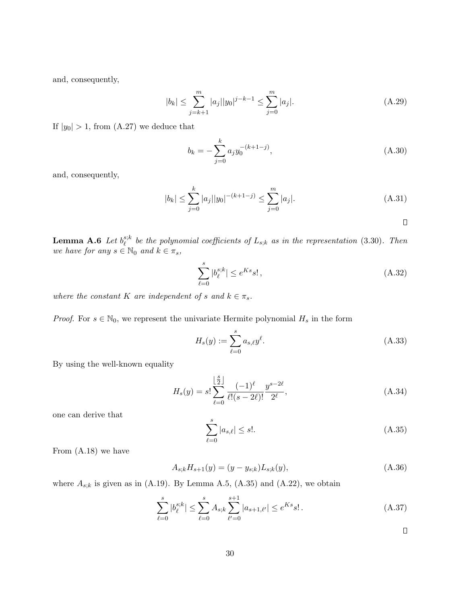and, consequently,

$$
|b_k| \le \sum_{j=k+1}^m |a_j| |y_0|^{j-k-1} \le \sum_{j=0}^m |a_j|.
$$
 (A.29)

If  $|y_0| > 1$ , from [\(A.27\)](#page-28-0) we deduce that

$$
b_k = -\sum_{j=0}^{k} a_j y_0^{-(k+1-j)},
$$
\n(A.30)

and, consequently,

$$
|b_k| \le \sum_{j=0}^k |a_j||y_0|^{-(k+1-j)} \le \sum_{j=0}^m |a_j|. \tag{A.31}
$$

 $\Box$ 

<span id="page-29-1"></span> ${\bf Lemma} \>\> {\bf A.6} \>\> Let \> {b}^{s;k}_\ell$  $\mathcal{E}_{\ell}^{s,\kappa}$  be the polynomial coefficients of  $L_{s,k}$  as in the representation [\(3.30\)](#page-16-0). Then we have for any  $s \in \mathbb{N}_0$  and  $k \in \pi_s$ ,

$$
\sum_{\ell=0}^{s} |b_{\ell}^{s;k}| \le e^{Ks} s!,\tag{A.32}
$$

where the constant K are independent of s and  $k \in \pi_s$ .

*Proof.* For  $s \in \mathbb{N}_0$ , we represent the univariate Hermite polynomial  $H_s$  in the form

$$
H_s(y) := \sum_{\ell=0}^s a_{s,\ell} y^{\ell}.
$$
 (A.33)

By using the well-known equality

$$
H_s(y) = s! \sum_{\ell=0}^{\lfloor \frac{s}{2} \rfloor} \frac{(-1)^{\ell}}{\ell!(s-2\ell)!} \frac{y^{s-2\ell}}{2^{\ell}},
$$
\n(A.34)

one can derive that

<span id="page-29-2"></span>
$$
\sum_{\ell=0}^{s} |a_{s,\ell}| \le s!.
$$
\n(A.35)

From [\(A.18\)](#page-27-4) we have

$$
A_{s,k}H_{s+1}(y) = (y - y_{s,k})L_{s,k}(y),
$$
\n(A.36)

<span id="page-29-0"></span>where  $A_{s,k}$  is given as in [\(A.19\)](#page-27-5). By Lemma [A.5,](#page-28-1) [\(A.35\)](#page-29-2) and [\(A.22\)](#page-28-2), we obtain

$$
\sum_{\ell=0}^{s} |b_{\ell}^{s;k}| \le \sum_{\ell=0}^{s} A_{s;k} \sum_{\ell'=0}^{s+1} |a_{s+1,\ell'}| \le e^{Ks} s! \,. \tag{A.37}
$$

 $\Box$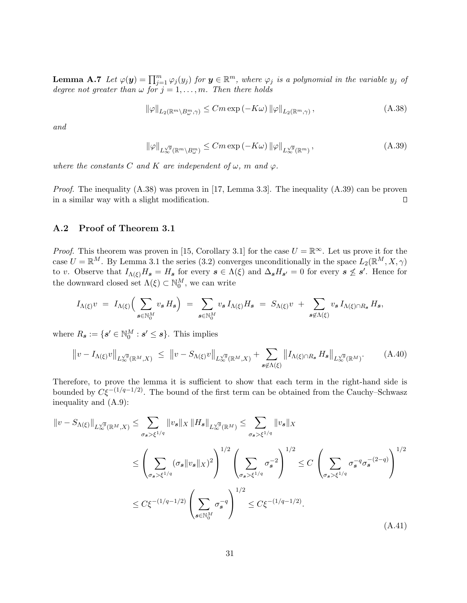**Lemma A.7** Let  $\varphi(\mathbf{y}) = \prod_{j=1}^{m} \varphi_j(y_j)$  for  $\mathbf{y} \in \mathbb{R}^m$ , where  $\varphi_j$  is a polynomial in the variable  $y_j$  of degree not greater than  $\omega$  for  $j = 1, \ldots, m$ . Then there holds

<span id="page-30-0"></span>
$$
\|\varphi\|_{L_2(\mathbb{R}^m \setminus B^m_\omega, \gamma)} \leq Cm \exp\left(-K\omega\right) \|\varphi\|_{L_2(\mathbb{R}^m, \gamma)},\tag{A.38}
$$

and

<span id="page-30-1"></span>
$$
\|\varphi\|_{L^{\sqrt{g}}_{\infty}(\mathbb{R}^m \setminus B^m_{\omega})} \leq Cm \exp\left(-K\omega\right) \|\varphi\|_{L^{\sqrt{g}}_{\infty}(\mathbb{R}^m)},\tag{A.39}
$$

where the constants C and K are independent of  $\omega$ , m and  $\varphi$ .

*Proof.* The inequality  $(A.38)$  was proven in [\[17,](#page-33-13) Lemma 3.3]. The inequality  $(A.39)$  can be proven in a similar way with a slight modification.  $\Box$ 

### A.2 Proof of Theorem [3.1](#page-11-2)

*Proof.* This theorem was proven in [\[15,](#page-32-10) Corollary 3.1] for the case  $U = \mathbb{R}^{\infty}$ . Let us prove it for the case  $U = \mathbb{R}^M$ . By Lemma [3.1](#page-8-1) the series [\(3.2\)](#page-7-0) converges unconditionally in the space  $L_2(\mathbb{R}^M, X, \gamma)$ to v. Observe that  $I_{\Lambda(\xi)}H_s = H_s$  for every  $s \in \Lambda(\xi)$  and  $\Delta_s H_{s'} = 0$  for every  $s \nleq s'$ . Hence for the downward closed set  $\Lambda(\xi) \subset \mathbb{N}_0^M$ , we can write

<span id="page-30-2"></span>
$$
I_{\Lambda(\xi)}v = I_{\Lambda(\xi)}\Big(\sum_{\mathbf{s}\in\mathbb{N}_0^M}v_{\mathbf{s}}H_{\mathbf{s}}\Big) = \sum_{\mathbf{s}\in\mathbb{N}_0^M}v_{\mathbf{s}}I_{\Lambda(\xi)}H_{\mathbf{s}} = S_{\Lambda(\xi)}v + \sum_{\mathbf{s}\notin\Lambda(\xi)}v_{\mathbf{s}}I_{\Lambda(\xi)\cap R_{\mathbf{s}}}H_{\mathbf{s}},
$$

where  $R_s := \{ s' \in \mathbb{N}_0^M : s' \leq s \}.$  This implies

$$
\|v - I_{\Lambda(\xi)}v\|_{L^{\sqrt{g}}_{\infty}(\mathbb{R}^M, X)} \leq \|v - S_{\Lambda(\xi)}v\|_{L^{\sqrt{g}}_{\infty}(\mathbb{R}^M, X)} + \sum_{s \notin \Lambda(\xi)} \|I_{\Lambda(\xi) \cap R_s} H_s\|_{L^{\sqrt{g}}_{\infty}(\mathbb{R}^M)}.
$$
 (A.40)

Therefore, to prove the lemma it is sufficient to show that each term in the right-hand side is bounded by  $C\bar{\xi}^{-(1/q-1/2)}$ . The bound of the first term can be obtained from the Cauchy–Schwasz inequality and [\(A.9\)](#page-26-0):

<span id="page-30-3"></span>
$$
||v - S_{\Lambda(\xi)}||_{L_{\infty}^{\sqrt{g}}(\mathbb{R}^{M},X)} \leq \sum_{\sigma_{s} > \xi^{1/q}} ||v_{s}||_{X} ||H_{s}||_{L_{\infty}^{\sqrt{g}}(\mathbb{R}^{M})} \leq \sum_{\sigma_{s} > \xi^{1/q}} ||v_{s}||_{X}
$$
  

$$
\leq \left(\sum_{\sigma_{s} > \xi^{1/q}} (\sigma_{s} ||v_{s}||_{X})^{2}\right)^{1/2} \left(\sum_{\sigma_{s} > \xi^{1/q}} \sigma_{s}^{-2}\right)^{1/2} \leq C \left(\sum_{\sigma_{s} > \xi^{1/q}} \sigma_{s}^{-q} \sigma_{s}^{-(2-q)}\right)^{1/2}
$$
  

$$
\leq C\xi^{-(1/q-1/2)} \left(\sum_{s \in \mathbb{N}_{0}^{M}} \sigma_{s}^{-q}\right)^{1/2} \leq C\xi^{-(1/q-1/2)}.
$$
 (A.41)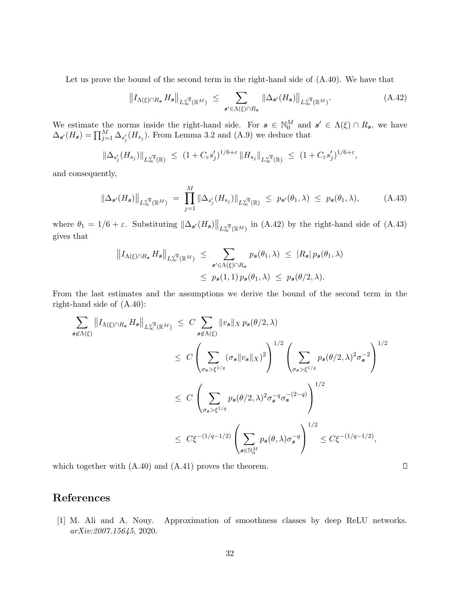Let us prove the bound of the second term in the right-hand side of [\(A.40\)](#page-30-2). We have that

<span id="page-31-1"></span>
$$
\left\|I_{\Lambda(\xi)\cap R_{s}}H_{s}\right\|_{L^{\sqrt{g}}_{\infty}(\mathbb{R}^{M})} \leq \sum_{s'\in\Lambda(\xi)\cap R_{s}}\left\|\Delta_{s'}(H_{s})\right\|_{L^{\sqrt{g}}_{\infty}(\mathbb{R}^{M})}.\tag{A.42}
$$

We estimate the norms inside the right-hand side. For  $s \in \mathbb{N}_0^M$  and  $s' \in \Lambda(\xi) \cap R_s$ , we have  $\Delta_{s'}(H_s) = \prod_{j=1}^{M} \Delta_{s'_j}(H_{s_j}).$  From Lemma [3.2](#page-10-2) and [\(A.9\)](#page-26-0) we deduce that

$$
\|\Delta_{s'_j}(H_{s_j})\|_{L^{\sqrt{g}}_{\infty}(\mathbb{R})} \le (1+C_{\varepsilon}s'_j)^{1/6+\varepsilon} \|H_{s_j}\|_{L^{\sqrt{g}}_{\infty}(\mathbb{R})} \le (1+C_{\varepsilon}s'_j)^{1/6+\varepsilon},
$$

<span id="page-31-2"></span>and consequently,

$$
\|\Delta_{\mathbf{s}'}(H_{\mathbf{s}})\|_{L_{\infty}^{\sqrt{g}}(\mathbb{R}^M)} = \prod_{j=1}^M \|\Delta_{s'_j}(H_{s_j})\|_{L_{\infty}^{\sqrt{g}}(\mathbb{R})} \le p_{\mathbf{s}'}(\theta_1, \lambda) \le p_{\mathbf{s}}(\theta_1, \lambda), \tag{A.43}
$$

where  $\theta_1 = 1/6 + \varepsilon$ . Substituting  $\|\Delta_{s'}(H_s)\|_{L^{\sqrt{g}}_{\infty}(\mathbb{R}^M)}$  in [\(A.42\)](#page-31-1) by the right-hand side of [\(A.43\)](#page-31-2) gives that

$$
||I_{\Lambda(\xi)\cap R_{s}} H_{s}||_{L_{\infty}^{\sqrt{g}}(\mathbb{R}^{M})} \leq \sum_{s'\in\Lambda(\xi)\cap R_{s}} p_{s}(\theta_{1},\lambda) \leq |R_{s}| p_{s}(\theta_{1},\lambda)
$$
  

$$
\leq p_{s}(1,1) p_{s}(\theta_{1},\lambda) \leq p_{s}(\theta/2,\lambda).
$$

From the last estimates and the assumptions we derive the bound of the second term in the right-hand side of [\(A.40\)](#page-30-2):

$$
\sum_{s \notin \Lambda(\xi)} ||I_{\Lambda(\xi) \cap R_s} H_s||_{L_{\infty}^{\sqrt{g}}(\mathbb{R}^M)} \leq C \sum_{s \notin \Lambda(\xi)} ||v_s||_X p_s(\theta/2, \lambda)
$$
\n
$$
\leq C \left( \sum_{\sigma_s > \xi^{1/q}} (\sigma_s ||v_s||_X)^2 \right)^{1/2} \left( \sum_{\sigma_s > \xi^{1/q}} p_s(\theta/2, \lambda)^2 \sigma_s^{-2} \right)^{1/2}
$$
\n
$$
\leq C \left( \sum_{\sigma_s > \xi^{1/q}} p_s(\theta/2, \lambda)^2 \sigma_s^{-q} \sigma_s^{-(2-q)} \right)^{1/2}
$$
\n
$$
\leq C \xi^{-(1/q - 1/2)} \left( \sum_{s \in \mathbb{N}_0^M} p_s(\theta, \lambda) \sigma_s^{-q} \right)^{1/2} \leq C \xi^{-(1/q - 1/2)},
$$

which together with  $(A.40)$  and  $(A.41)$  proves the theorem.

# References

<span id="page-31-0"></span>[1] M. Ali and A. Nouy. Approximation of smoothness classes by deep ReLU networks. arXiv:2007.15645, 2020.

 $\Box$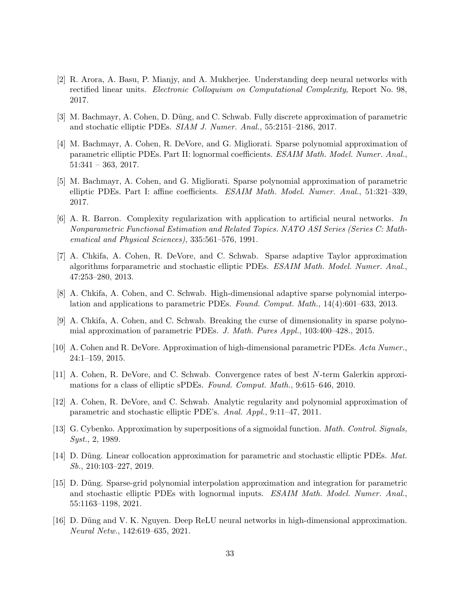- <span id="page-32-13"></span>[2] R. Arora, A. Basu, P. Mianjy, and A. Mukherjee. Understanding deep neural networks with rectified linear units. Electronic Colloquium on Computational Complexity, Report No. 98, 2017.
- <span id="page-32-0"></span>[3] M. Bachmayr, A. Cohen, D. Dũng, and C. Schwab. Fully discrete approximation of parametric and stochatic elliptic PDEs. SIAM J. Numer. Anal., 55:2151–2186, 2017.
- <span id="page-32-1"></span>[4] M. Bachmayr, A. Cohen, R. DeVore, and G. Migliorati. Sparse polynomial approximation of parametric elliptic PDEs. Part II: lognormal coefficients. ESAIM Math. Model. Numer. Anal.,  $51:341 - 363, 2017.$
- <span id="page-32-2"></span>[5] M. Bachmayr, A. Cohen, and G. Migliorati. Sparse polynomial approximation of parametric elliptic PDEs. Part I: affine coefficients. ESAIM Math. Model. Numer. Anal., 51:321-339, 2017.
- <span id="page-32-11"></span>[6] A. R. Barron. Complexity regularization with application to artificial neural networks. In Nonparametric Functional Estimation and Related Topics. NATO ASI Series (Series C: Mathematical and Physical Sciences), 335:561–576, 1991.
- <span id="page-32-3"></span>[7] A. Chkifa, A. Cohen, R. DeVore, and C. Schwab. Sparse adaptive Taylor approximation algorithms forparametric and stochastic elliptic PDEs. ESAIM Math. Model. Numer. Anal., 47:253–280, 2013.
- <span id="page-32-4"></span>[8] A. Chkifa, A. Cohen, and C. Schwab. High-dimensional adaptive sparse polynomial interpolation and applications to parametric PDEs. Found. Comput. Math., 14(4):601–633, 2013.
- <span id="page-32-5"></span>[9] A. Chkifa, A. Cohen, and C. Schwab. Breaking the curse of dimensionality in sparse polynomial approximation of parametric PDEs. J. Math. Pures Appl., 103:400–428., 2015.
- <span id="page-32-6"></span>[10] A. Cohen and R. DeVore. Approximation of high-dimensional parametric PDEs. Acta Numer., 24:1–159, 2015.
- <span id="page-32-7"></span>[11] A. Cohen, R. DeVore, and C. Schwab. Convergence rates of best N-term Galerkin approximations for a class of elliptic sPDEs. Found. Comput. Math., 9:615–646, 2010.
- <span id="page-32-8"></span>[12] A. Cohen, R. DeVore, and C. Schwab. Analytic regularity and polynomial approximation of parametric and stochastic elliptic PDE's. Anal. Appl., 9:11–47, 2011.
- <span id="page-32-12"></span>[13] G. Cybenko. Approximation by superpositions of a sigmoidal function. Math. Control. Signals, Syst., 2, 1989.
- <span id="page-32-9"></span>[14] D. Dũng. Linear collocation approximation for parametric and stochastic elliptic PDEs. Mat. Sb., 210:103–227, 2019.
- <span id="page-32-10"></span>[15] D. D˜ung. Sparse-grid polynomial interpolation approximation and integration for parametric and stochastic elliptic PDEs with lognormal inputs. ESAIM Math. Model. Numer. Anal., 55:1163–1198, 2021.
- <span id="page-32-14"></span>[16] D. D˜ung and V. K. Nguyen. Deep ReLU neural networks in high-dimensional approximation. Neural Netw., 142:619–635, 2021.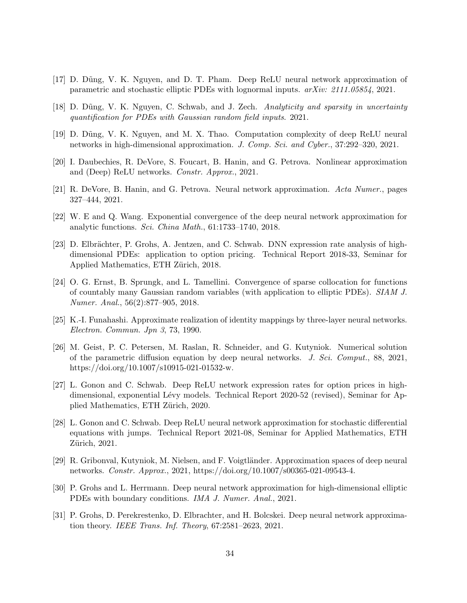- <span id="page-33-13"></span>[17] D. D˜ung, V. K. Nguyen, and D. T. Pham. Deep ReLU neural network approximation of parametric and stochastic elliptic PDEs with lognormal inputs. arXiv: 2111.05854, 2021.
- <span id="page-33-1"></span>[18] D. Dũng, V. K. Nguyen, C. Schwab, and J. Zech. Analyticity and sparsity in uncertainty quantification for PDEs with Gaussian random field inputs. 2021.
- <span id="page-33-7"></span>[19] D. D˜ung, V. K. Nguyen, and M. X. Thao. Computation complexity of deep ReLU neural networks in high-dimensional approximation. J. Comp. Sci. and Cyber., 37:292–320, 2021.
- <span id="page-33-3"></span>[20] I. Daubechies, R. DeVore, S. Foucart, B. Hanin, and G. Petrova. Nonlinear approximation and (Deep) ReLU networks. Constr. Approx., 2021.
- <span id="page-33-12"></span>[21] R. DeVore, B. Hanin, and G. Petrova. Neural network approximation. Acta Numer., pages 327–444, 2021.
- <span id="page-33-4"></span>[22] W. E and Q. Wang. Exponential convergence of the deep neural network approximation for analytic functions. Sci. China Math., 61:1733–1740, 2018.
- <span id="page-33-8"></span>[23] D. Elbrächter, P. Grohs, A. Jentzen, and C. Schwab. DNN expression rate analysis of highdimensional PDEs: application to option pricing. Technical Report 2018-33, Seminar for Applied Mathematics, ETH Zürich, 2018.
- <span id="page-33-0"></span>[24] O. G. Ernst, B. Sprungk, and L. Tamellini. Convergence of sparse collocation for functions of countably many Gaussian random variables (with application to elliptic PDEs). SIAM J. Numer. Anal., 56(2):877–905, 2018.
- <span id="page-33-2"></span>[25] K.-I. Funahashi. Approximate realization of identity mappings by three-layer neural networks. Electron. Commun. Jpn 3, 73, 1990.
- <span id="page-33-14"></span>[26] M. Geist, P. C. Petersen, M. Raslan, R. Schneider, and G. Kutyniok. Numerical solution of the parametric diffusion equation by deep neural networks. J. Sci. Comput., 88, 2021, https://doi.org/10.1007/s10915-021-01532-w.
- <span id="page-33-9"></span>[27] L. Gonon and C. Schwab. Deep ReLU network expression rates for option prices in highdimensional, exponential Lévy models. Technical Report 2020-52 (revised), Seminar for Applied Mathematics, ETH Zürich, 2020.
- <span id="page-33-10"></span>[28] L. Gonon and C. Schwab. Deep ReLU neural network approximation for stochastic differential equations with jumps. Technical Report 2021-08, Seminar for Applied Mathematics, ETH Zürich, 2021.
- <span id="page-33-5"></span>[29] R. Gribonval, Kutyniok, M. Nielsen, and F. Voigtländer. Approximation spaces of deep neural networks. Constr. Approx., 2021, https://doi.org/10.1007/s00365-021-09543-4.
- <span id="page-33-11"></span>[30] P. Grohs and L. Herrmann. Deep neural network approximation for high-dimensional elliptic PDEs with boundary conditions. IMA J. Numer. Anal., 2021.
- <span id="page-33-6"></span>[31] P. Grohs, D. Perekrestenko, D. Elbrachter, and H. Bolcskei. Deep neural network approximation theory. IEEE Trans. Inf. Theory, 67:2581–2623, 2021.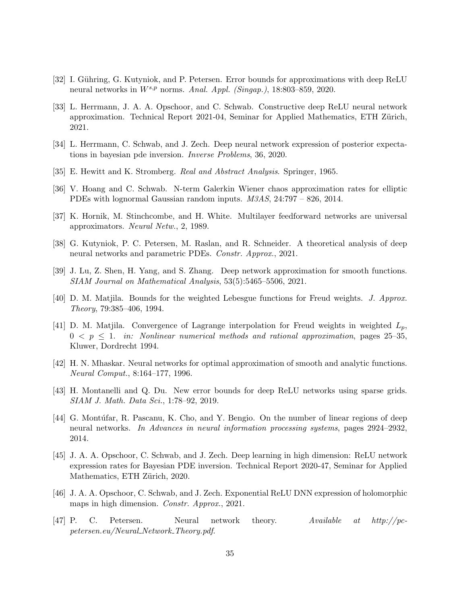- <span id="page-34-3"></span>[32] I. Gühring, G. Kutyniok, and P. Petersen. Error bounds for approximations with deep ReLU neural networks in  $W^{s,p}$  norms. Anal. Appl. (Singap.), 18:803-859, 2020.
- <span id="page-34-7"></span>[33] L. Herrmann, J. A. A. Opschoor, and C. Schwab. Constructive deep ReLU neural network approximation. Technical Report 2021-04, Seminar for Applied Mathematics, ETH Zürich, 2021.
- <span id="page-34-11"></span>[34] L. Herrmann, C. Schwab, and J. Zech. Deep neural network expression of posterior expectations in bayesian pde inversion. Inverse Problems, 36, 2020.
- <span id="page-34-13"></span>[35] E. Hewitt and K. Stromberg. Real and Abstract Analysis. Springer, 1965.
- <span id="page-34-0"></span>[36] V. Hoang and C. Schwab. N-term Galerkin Wiener chaos approximation rates for elliptic PDEs with lognormal Gaussian random inputs.  $M3AS$ , 24:797 – 826, 2014.
- <span id="page-34-1"></span>[37] K. Hornik, M. Stinchcombe, and H. White. Multilayer feedforward networks are universal approximators. Neural Netw., 2, 1989.
- <span id="page-34-10"></span>[38] G. Kutyniok, P. C. Petersen, M. Raslan, and R. Schneider. A theoretical analysis of deep neural networks and parametric PDEs. Constr. Approx., 2021.
- <span id="page-34-5"></span>[39] J. Lu, Z. Shen, H. Yang, and S. Zhang. Deep network approximation for smooth functions. SIAM Journal on Mathematical Analysis, 53(5):5465–5506, 2021.
- <span id="page-34-14"></span>[40] D. M. Matjila. Bounds for the weighted Lebesgue functions for Freud weights. J. Approx. Theory, 79:385–406, 1994.
- <span id="page-34-15"></span>[41] D. M. Matjila. Convergence of Lagrange interpolation for Freud weights in weighted  $L_p$ ,  $0 \leq p \leq 1$ . in: Nonlinear numerical methods and rational approximation, pages 25–35, Kluwer, Dordrecht 1994.
- <span id="page-34-4"></span>[42] H. N. Mhaskar. Neural networks for optimal approximation of smooth and analytic functions. Neural Comput., 8:164–177, 1996.
- <span id="page-34-6"></span>[43] H. Montanelli and Q. Du. New error bounds for deep ReLU networks using sparse grids. SIAM J. Math. Data Sci., 1:78–92, 2019.
- <span id="page-34-2"></span>[44] G. Montúfar, R. Pascanu, K. Cho, and Y. Bengio. On the number of linear regions of deep neural networks. In Advances in neural information processing systems, pages 2924–2932, 2014.
- <span id="page-34-12"></span>[45] J. A. A. Opschoor, C. Schwab, and J. Zech. Deep learning in high dimension: ReLU network expression rates for Bayesian PDE inversion. Technical Report 2020-47, Seminar for Applied Mathematics, ETH Zürich, 2020.
- <span id="page-34-8"></span>[46] J. A. A. Opschoor, C. Schwab, and J. Zech. Exponential ReLU DNN expression of holomorphic maps in high dimension. Constr. Approx., 2021.
- <span id="page-34-9"></span>[47] P. C. Petersen. Neural network theory. Available at  $http://pc$ petersen.eu/Neural Network Theory.pdf.